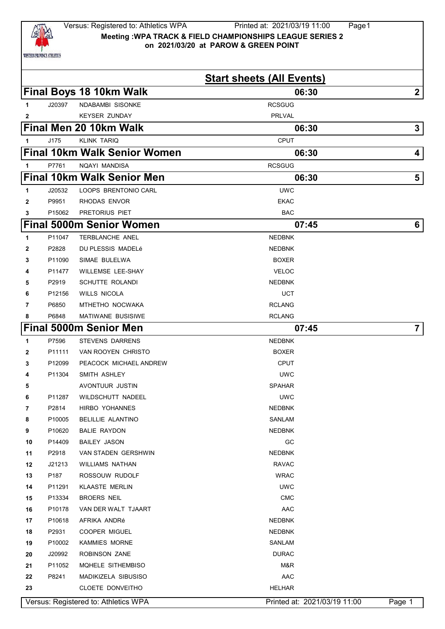

**Start sheets (All Events) Final Boys 18 10km Walk 06:30 2** J20397 NDABAMBI SISONKE **ROSES AND SISON SISON SISON CONTAINS A ROSES AND ROSES AND ROSES AND ROSES AND RESISTENT AND RESISTENT AND RESISTENT AND RESISTENT AND RESISTENT AND RESISTENT AND RESISTENT AND RESISTENT AND RE EXECUTE A KEYSER ZUNDAY PRLVAL Final Men 20 10km Walk 06:30 3** J175 KLINK TARIQ CPUT **Final 10km Walk Senior Women 06:30 4** P7761 NQAYI MANDISA RCSGUG **Final 10km Walk Senior Men 106:30 5 5**  J20532 LOOPS BRENTONIO CARL UWC P9951 RHODAS ENVOR P15062 PRETORIUS PIET BAC **Final 5000m Senior Women 07:45 6** P11047 TERBLANCHE ANEL **NEDBNK**  P2828 DU PLESSIS MADELé NEDBNK P11090 SIMAE BULELWA **BOXER**  P11477 WILLEMSE LEE-SHAY **VELOC**  P2919 SCHUTTE ROLANDI **NEDBNK**  P12156 WILLS NICOLA UCT P6850 MTHETHO NOCWAKA **RCLANG**  P6848 MATIWANE BUSISIWE **RELANG** RCLANG **Final 5000m Senior Men 07:45 7** P7596 STEVENS DARRENS NEDBNK P11111 VAN ROOYEN CHRISTO **BOXER**  P12099 PEACOCK MICHAEL ANDREW CPUT P11304 SMITH ASHLEY UWC AVONTUUR JUSTIN AVOORTUUR SPAHAR P11287 WILDSCHUTT NADEEL **WILDSCHUTT NADEEL**  P2814 HIRBO YOHANNES NEDBNK P10005 BELILLIE ALANTINO SANLAM P10620 BALIE RAYDON **NEDBNK**  P14409 BAILEY JASON GC P2918 VAN STADEN GERSHWIN NEDBNK J21213 WILLIAMS NATHAN RAVAC P187 ROSSOUW RUDOLF WRAC P11291 KLAASTE MERLIN UWC P13334 BROERS NEIL **CMC**  P10178 VAN DER WALT TJAART **AAC** AAC P10618 AFRIKA ANDRé NEDBNK

 P2931 COOPER MIGUEL **NEDBNK**  P10002 KAMMIES MORNE SANLAM J20992 ROBINSON ZANE **DURAC DURAC DURAC**  P11052 MQHELE SITHEMBISO M&R P8241 MADIKIZELA SIBUSISO AAC CLOETE DONVEITHO HELHAR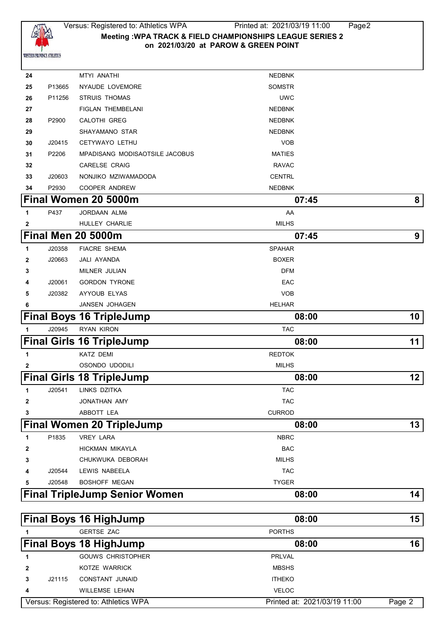

| 24           |        | MTYI ANATHI                           | <b>NEDBNK</b> |                 |
|--------------|--------|---------------------------------------|---------------|-----------------|
| 25           | P13665 | NYAUDE LOVEMORE                       | <b>SOMSTR</b> |                 |
| 26           | P11256 | <b>STRUIS THOMAS</b>                  | <b>UWC</b>    |                 |
| 27           |        | <b>FIGLAN THEMBELANI</b>              | <b>NEDBNK</b> |                 |
| 28           | P2900  | <b>CALOTHI GREG</b>                   | <b>NEDBNK</b> |                 |
| 29           |        | SHAYAMANO STAR                        | <b>NEDBNK</b> |                 |
| 30           | J20415 | CETYWAYO LETHU                        | <b>VOB</b>    |                 |
| 31           | P2206  | <b>MPADISANG MODISAOTSILE JACOBUS</b> | <b>MATIES</b> |                 |
| 32           |        | <b>CARELSE CRAIG</b>                  | <b>RAVAC</b>  |                 |
| 33           | J20603 | NONJIKO MZIWAMADODA                   | <b>CENTRL</b> |                 |
| 34           | P2930  | COOPER ANDREW                         | <b>NEDBNK</b> |                 |
|              |        | Final Women 20 5000m                  | 07:45         | 8 <sup>1</sup>  |
| 1            | P437   | JORDAAN ALMé                          | AA            |                 |
| $\mathbf{2}$ |        | HULLEY CHARLIE                        | <b>MILHS</b>  |                 |
|              |        | Final Men 20 5000m                    | 07:45         | 9 <sup>1</sup>  |
| 1            | J20358 | <b>FIACRE SHEMA</b>                   | <b>SPAHAR</b> |                 |
| $\mathbf{2}$ | J20663 | JALI AYANDA                           | <b>BOXER</b>  |                 |
| 3            |        | MILNER JULIAN                         | <b>DFM</b>    |                 |
| 4            | J20061 | <b>GORDON TYRONE</b>                  | EAC           |                 |
| 5            | J20382 | AYYOUB ELYAS                          | <b>VOB</b>    |                 |
| 6            |        | JANSEN JOHAGEN                        | <b>HELHAR</b> |                 |
|              |        | <b>Final Boys 16 TripleJump</b>       | 08:00         | 10 <sub>1</sub> |
| 1            | J20945 | RYAN KIRON                            | <b>TAC</b>    |                 |
|              |        | <b>Final Girls 16 TripleJump</b>      | 08:00         | 11              |
| 1            |        | <b>KATZ DEMI</b>                      | <b>REDTOK</b> |                 |
| $\mathbf{2}$ |        | OSONDO UDODILI                        | <b>MILHS</b>  |                 |
|              |        | <b>Final Girls 18 TripleJump</b>      | 08:00         | 12              |
| 1            | J20541 | LINKS DZITKA                          | <b>TAC</b>    |                 |
| $\mathbf{2}$ |        | JONATHAN AMY                          | <b>TAC</b>    |                 |
| 3            |        | ABBOTT LEA                            | <b>CURROD</b> |                 |
|              |        | <b>Final Women 20 TripleJump</b>      | 08:00         | 13              |
| 1            | P1835  | <b>VREY LARA</b>                      | <b>NBRC</b>   |                 |
| 2            |        | HICKMAN MIKAYLA                       | <b>BAC</b>    |                 |
| 3            |        | CHUKWUKA DEBORAH                      | <b>MILHS</b>  |                 |
| 4            | J20544 | LEWIS NABEELA                         | <b>TAC</b>    |                 |
| 5            | J20548 | <b>BOSHOFF MEGAN</b>                  | <b>TYGER</b>  |                 |
|              |        | <b>Final TripleJump Senior Women</b>  | 08:00         | 14              |
|              |        |                                       |               |                 |
|              |        | <b>Final Boys 16 HighJump</b>         | 08:00         | 15              |
| 1            |        | <b>GERTSE ZAC</b>                     | <b>PORTHS</b> |                 |
|              |        | <b>Final Boys 18 HighJump</b>         | 08:00         | 16              |
| 1            |        | <b>GOUWS CHRISTOPHER</b>              | <b>PRLVAL</b> |                 |
| $\mathbf{2}$ |        | KOTZE WARRICK                         | <b>MBSHS</b>  |                 |
| 3            | J21115 | CONSTANT JUNAID                       | <b>ITHEKO</b> |                 |
|              |        |                                       |               |                 |

 WILLEMSE LEHAN **VELOC** Versus: Registered to: Athletics WPA Printed at: 2021/03/19 11:00 Page 2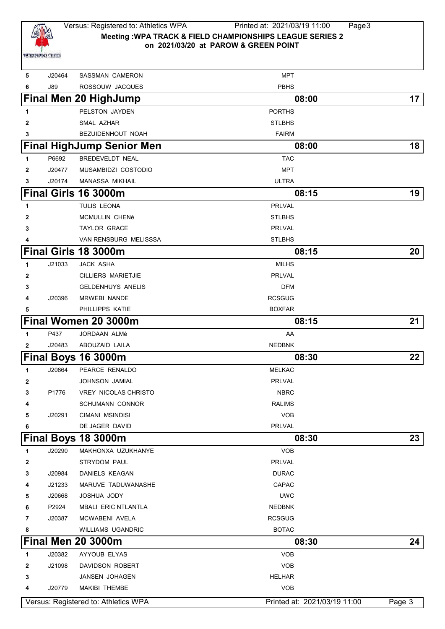

## Versus: Registered to: Athletics WPA Printed at: 2021/03/19 11:00 Page3 **Meeting :WPA TRACK & FIELD CHAMPIONSHIPS LEAGUE SERIES 2 on 2021/03/20 at PAROW & GREEN POINT**

| 5            | J20464 | <b>SASSMAN CAMERON</b>               | <b>MPT</b>                   |        |
|--------------|--------|--------------------------------------|------------------------------|--------|
| 6            | J89    | ROSSOUW JACQUES                      | <b>PBHS</b>                  |        |
|              |        | <b>Final Men 20 HighJump</b>         | 08:00                        | 17     |
| 1            |        | PELSTON JAYDEN                       | <b>PORTHS</b>                |        |
| 2            |        | SMAL AZHAR                           | <b>STLBHS</b>                |        |
| 3            |        | <b>BEZUIDENHOUT NOAH</b>             | <b>FAIRM</b>                 |        |
|              |        | <b>Final HighJump Senior Men</b>     | 08:00                        | 18     |
| 1            | P6692  | <b>BREDEVELDT NEAL</b>               | <b>TAC</b>                   |        |
| 2            | J20477 | MUSAMBIDZI COSTODIO                  | <b>MPT</b>                   |        |
| 3            | J20174 | MANASSA MIKHAIL                      | <b>ULTRA</b>                 |        |
|              |        | Final Girls 16 3000m                 | 08:15                        | 19     |
| 1            |        | TULIS LEONA                          | PRLVAL                       |        |
| $\mathbf{2}$ |        | MCMULLIN CHENé                       | <b>STLBHS</b>                |        |
| 3            |        | <b>TAYLOR GRACE</b>                  | PRLVAL                       |        |
| 4            |        | VAN RENSBURG MELISSSA                | <b>STLBHS</b>                |        |
|              |        | Final Girls 18 3000m                 | 08:15                        | 20     |
| 1            | J21033 | <b>JACK ASHA</b>                     | <b>MILHS</b>                 |        |
| 2            |        | <b>CILLIERS MARIETJIE</b>            | PRLVAL                       |        |
| 3            |        | <b>GELDENHUYS ANELIS</b>             | <b>DFM</b>                   |        |
| 4            | J20396 | <b>MRWEBI NANDE</b>                  | <b>RCSGUG</b>                |        |
| 5            |        | PHILLIPPS KATIE                      | <b>BOXFAR</b>                |        |
|              |        | Final Women 20 3000m                 | 08:15                        | 21     |
| 1            | P437   | JORDAAN ALMé                         | AA                           |        |
| $\mathbf{2}$ | J20483 | ABOUZAID LAILA                       | <b>NEDBNK</b>                |        |
|              |        | <b>Final Boys 16 3000m</b>           | 08:30                        | 22     |
| 1            | J20864 | PEARCE RENALDO                       | <b>MELKAC</b>                |        |
| 2            |        | <b>JOHNSON JAMIAL</b>                | <b>PRLVAL</b>                |        |
| 3            | P1776  | <b>VREY NICOLAS CHRISTO</b>          | <b>NBRC</b>                  |        |
| 4            |        | <b>SCHUMANN CONNOR</b>               | <b>RALIMS</b>                |        |
| 5            | J20291 | <b>CIMANI MSINDISI</b>               | <b>VOB</b>                   |        |
| 6            |        | DE JAGER DAVID                       | PRLVAL                       |        |
|              |        | Final Boys 18 3000m                  | 08:30                        | 23     |
| 1            | J20290 | MAKHONXA UZUKHANYE                   | <b>VOB</b>                   |        |
| 2            |        | <b>STRYDOM PAUL</b>                  | PRLVAL                       |        |
| 3            | J20984 | DANIELS KEAGAN                       | <b>DURAC</b>                 |        |
| 4            | J21233 | MARUVE TADUWANASHE                   | CAPAC                        |        |
| 5            | J20668 | JOSHUA JODY                          | <b>UWC</b>                   |        |
| 6            | P2924  | <b>MBALI ERIC NTLANTLA</b>           | <b>NEDBNK</b>                |        |
| 7            | J20387 | MCWABENI AVELA                       | <b>RCSGUG</b>                |        |
| 8            |        | <b>WILLIAMS UGANDRIC</b>             | <b>BOTAC</b>                 |        |
|              |        | <b>Final Men 20 3000m</b>            | 08:30                        | 24     |
| 1            | J20382 | AYYOUB ELYAS                         | <b>VOB</b>                   |        |
| $\mathbf{2}$ | J21098 | DAVIDSON ROBERT                      | <b>VOB</b>                   |        |
| 3            |        | JANSEN JOHAGEN                       | <b>HELHAR</b>                |        |
| 4            | J20779 | <b>MAKIBI THEMBE</b>                 | <b>VOB</b>                   |        |
|              |        | Versus: Registered to: Athletics WPA | Printed at: 2021/03/19 11:00 | Page 3 |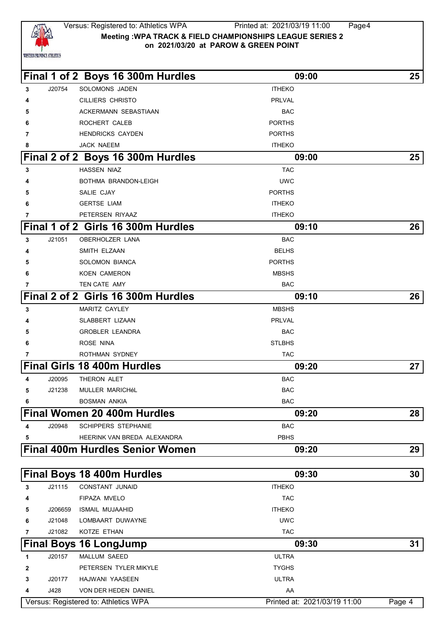

JACK NAEEM

 J20754 SOLOMONS JADEN **ITHEKO**  CILLIERS CHRISTO PRLVAL ACKERMANN SEBASTIAAN BAC ROCHERT CALEB **PORTHS HENDRICKS CAYDEN PORTHS** 

**Final 1 of 2 Boys 16 300m Hurdles 09:00 25**

| -8             | <b>JACK NAEEM</b>                  | <b>ITHEKO</b> |    |
|----------------|------------------------------------|---------------|----|
|                | Final 2 of 2 Boys 16 300m Hurdles  | 09:00         | 25 |
| $\mathbf{3}$   | <b>HASSEN NIAZ</b>                 | <b>TAC</b>    |    |
| 4              | BOTHMA BRANDON-LEIGH               | <b>UWC</b>    |    |
| 5              | SALIE CJAY                         | <b>PORTHS</b> |    |
| 6              | <b>GERTSE LIAM</b>                 | <b>ITHEKO</b> |    |
| $\overline{7}$ | PETERSEN RIYAAZ                    | <b>ITHEKO</b> |    |
|                | Final 1 of 2 Girls 16 300m Hurdles | 09:10         | 26 |
| 3              | J21051<br>OBERHOLZER LANA          | <b>BAC</b>    |    |
| 4              | SMITH ELZAAN                       | <b>BELHS</b>  |    |
|                |                                    |               |    |

|                |        | <b>Final Women 20 400m Hurdles</b> | 09:20         | 28 |
|----------------|--------|------------------------------------|---------------|----|
| 6              |        | <b>BOSMAN ANKIA</b>                | <b>BAC</b>    |    |
| 5              | J21238 | <b>MULLER MARICHÉL</b>             | <b>BAC</b>    |    |
| 4              | J20095 | THERON ALET                        | <b>BAC</b>    |    |
|                |        | <b>Final Girls 18 400m Hurdles</b> | 09:20         | 27 |
| 7              |        | <b>ROTHMAN SYDNEY</b>              | <b>TAC</b>    |    |
| 6              |        | <b>ROSE NINA</b>                   | <b>STLBHS</b> |    |
| 5              |        | <b>GROBLER LEANDRA</b>             | <b>BAC</b>    |    |
| 4              |        | SLABBERT LIZAAN                    | <b>PRLVAL</b> |    |
| 3              |        | <b>MARITZ CAYLEY</b>               | <b>MBSHS</b>  |    |
|                |        | Final 2 of 2 Girls 16 300m Hurdles | 09:10         | 26 |
| $\overline{7}$ |        | TEN CATE AMY                       | <b>BAC</b>    |    |
| 6              |        | <b>KOEN CAMERON</b>                | <b>MBSHS</b>  |    |
| 5              |        | <b>SOLOMON BIANCA</b>              | <b>PORTHS</b> |    |
| 4              |        | SMITH ELZAAN                       | <b>BELHS</b>  |    |
| 3              | J21051 | <b>OBERHOLZER LANA</b>             | <b>BAC</b>    |    |
|                |        | Final 1 of 2 Girls 16 300m Hurdles | 09:10         | 26 |
| 7              |        | PETERSEN RIYAAZ                    | <b>ITHEKO</b> |    |
| 6              |        | <b>GERTSE LIAM</b>                 | <b>ITHEKO</b> |    |
| 5              |        | SALIE CJAY                         | <b>PORTHS</b> |    |

|        |                                        |             | -- |
|--------|----------------------------------------|-------------|----|
| J20948 | SCHIPPERS STEPHANIE                    | <b>BAC</b>  |    |
|        | HEERINK VAN BREDA ALEXANDRA            | <b>PBHS</b> |    |
|        | <b>Final 400m Hurdles Senior Women</b> | 09:20       | 29 |

|              |         | <b>Final Boys 18 400m Hurdles</b>    | 09:30                        | 30     |
|--------------|---------|--------------------------------------|------------------------------|--------|
| 3            | J21115  | <b>CONSTANT JUNAID</b>               | <b>ITHEKO</b>                |        |
| 4            |         | FIPAZA MVELO                         | <b>TAC</b>                   |        |
| 5            | J206659 | ISMAIL MUJAAHID                      | <b>ITHEKO</b>                |        |
| 6            | J21048  | LOMBAART DUWAYNE                     | <b>UWC</b>                   |        |
| 7            | J21082  | KOTZE ETHAN                          | <b>TAC</b>                   |        |
|              |         | <b>Final Boys 16 LongJump</b>        | 09:30                        | 31     |
| 1            | J20157  | <b>MALLUM SAEED</b>                  | <b>ULTRA</b>                 |        |
| $\mathbf{2}$ |         | PETERSEN TYLER MIKYLE                | <b>TYGHS</b>                 |        |
| 3            | J20177  | HAJWANI YAASEEN                      | <b>ULTRA</b>                 |        |
| 4            | J428    | <b>VON DER HEDEN DANIEL</b>          | AA                           |        |
|              |         | Versus: Registered to: Athletics WPA | Printed at: 2021/03/19 11:00 | Page 4 |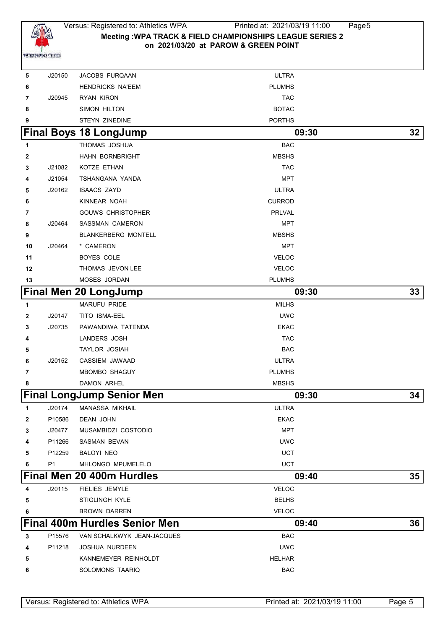

# Versus: Registered to: Athletics WPA Printed at: 2021/03/19 11:00 Page5 **Meeting :WPA TRACK & FIELD CHAMPIONSHIPS LEAGUE SERIES 2 on 2021/03/20 at PAROW & GREEN POINT**

| 5            | J20150 | JACOBS FURQAAN                       | <b>ULTRA</b>  |    |
|--------------|--------|--------------------------------------|---------------|----|
| 6            |        | <b>HENDRICKS NA'EEM</b>              | <b>PLUMHS</b> |    |
| 7            | J20945 | <b>RYAN KIRON</b>                    | <b>TAC</b>    |    |
| 8            |        | SIMON HILTON                         | <b>BOTAC</b>  |    |
| 9            |        | STEYN ZINEDINE                       | <b>PORTHS</b> |    |
|              |        | <b>Final Boys 18 LongJump</b>        | 09:30         | 32 |
| 1            |        | THOMAS JOSHUA                        | <b>BAC</b>    |    |
| 2            |        | HAHN BORNBRIGHT                      | <b>MBSHS</b>  |    |
| 3            | J21082 | KOTZE ETHAN                          | <b>TAC</b>    |    |
| 4            | J21054 | TSHANGANA YANDA                      | MPT           |    |
| 5            | J20162 | <b>ISAACS ZAYD</b>                   | <b>ULTRA</b>  |    |
| 6            |        | KINNEAR NOAH                         | <b>CURROD</b> |    |
| 7            |        | <b>GOUWS CHRISTOPHER</b>             | <b>PRLVAL</b> |    |
| 8            | J20464 | SASSMAN CAMERON                      | MPT           |    |
| 9            |        | <b>BLANKERBERG MONTELL</b>           | <b>MBSHS</b>  |    |
| 10           | J20464 | * CAMERON                            | <b>MPT</b>    |    |
| 11           |        | <b>BOYES COLE</b>                    | <b>VELOC</b>  |    |
| 12           |        | THOMAS JEVON LEE                     | <b>VELOC</b>  |    |
| 13           |        | MOSES JORDAN                         | <b>PLUMHS</b> |    |
|              |        | <b>Final Men 20 LongJump</b>         | 09:30         | 33 |
| 1            |        | MARUFU PRIDE                         | <b>MILHS</b>  |    |
| $\mathbf{2}$ | J20147 | TITO ISMA-EEL                        | <b>UWC</b>    |    |
| 3            | J20735 | PAWANDIWA TATENDA                    | <b>EKAC</b>   |    |
| 4            |        | LANDERS JOSH                         | <b>TAC</b>    |    |
| 5            |        | <b>TAYLOR JOSIAH</b>                 | <b>BAC</b>    |    |
| 6            | J20152 | CASSIEM JAWAAD                       | <b>ULTRA</b>  |    |
| 7            |        | MBOMBO SHAGUY                        | <b>PLUMHS</b> |    |
| 8            |        | DAMON ARI-EL                         | <b>MBSHS</b>  |    |
|              |        | <b>Final LongJump Senior Men</b>     | 09:30         | 34 |
| 1            | J20174 | MANASSA MIKHAIL                      | <b>ULTRA</b>  |    |
| 2            | P10586 | DEAN JOHN                            | <b>EKAC</b>   |    |
| 3            | J20477 | MUSAMBIDZI COSTODIO                  | <b>MPT</b>    |    |
| 4            | P11266 | SASMAN BEVAN                         | <b>UWC</b>    |    |
| 5            | P12259 | BALOYI NEO                           | <b>UCT</b>    |    |
| 6            | P1     | MHLONGO MPUMELELO                    | <b>UCT</b>    |    |
|              |        | Final Men 20 400m Hurdles            | 09:40         | 35 |
| 4            | J20115 | <b>FIELIES JEMYLE</b>                | <b>VELOC</b>  |    |
| 5            |        | STIGLINGH KYLE                       | <b>BELHS</b>  |    |
| 6            |        | <b>BROWN DARREN</b>                  | <b>VELOC</b>  |    |
|              |        | <b>Final 400m Hurdles Senior Men</b> | 09:40         | 36 |
| 3            | P15576 | VAN SCHALKWYK JEAN-JACQUES           | <b>BAC</b>    |    |
| 4            | P11218 | <b>JOSHUA NURDEEN</b>                | <b>UWC</b>    |    |
| 5            |        | KANNEMEYER REINHOLDT                 | <b>HELHAR</b> |    |
| 6            |        | SOLOMONS TAARIQ                      | <b>BAC</b>    |    |
|              |        |                                      |               |    |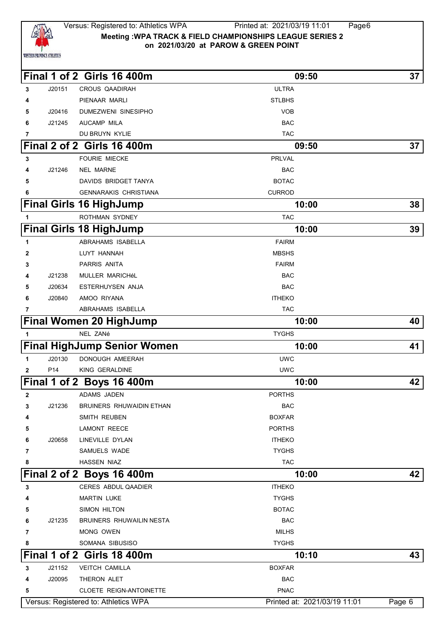

#### Versus: Registered to: Athletics WPA Printed at: 2021/03/19 11:01 Page6 **Meeting :WPA TRACK & FIELD CHAMPIONSHIPS LEAGUE SERIES 2 on 2021/03/20 at PAROW & GREEN POINT**

| the control of the control of the con- |  |  |
|----------------------------------------|--|--|
|                                        |  |  |

|              |                 | Final 1 of 2 Girls 16 400m           | 09:50                        | 37     |
|--------------|-----------------|--------------------------------------|------------------------------|--------|
| 3            | J20151          | <b>CROUS QAADIRAH</b>                | <b>ULTRA</b>                 |        |
| 4            |                 | PIENAAR MARLI                        | <b>STLBHS</b>                |        |
| 5            | J20416          | DUMEZWENI SINESIPHO                  | <b>VOB</b>                   |        |
| 6            | J21245          | AUCAMP MILA                          | <b>BAC</b>                   |        |
| 7            |                 | DU BRUYN KYLIE                       | <b>TAC</b>                   |        |
|              |                 | <b>Final 2 of 2 Girls 16 400m</b>    | 09:50                        | 37     |
| 3            |                 | <b>FOURIE MIECKE</b>                 | <b>PRLVAL</b>                |        |
| 4            | J21246          | <b>NEL MARNE</b>                     | <b>BAC</b>                   |        |
| 5            |                 | DAVIDS BRIDGET TANYA                 | <b>BOTAC</b>                 |        |
| 6            |                 | <b>GENNARAKIS CHRISTIANA</b>         | <b>CURROD</b>                |        |
|              |                 | <b>Final Girls 16 HighJump</b>       | 10:00                        | 38     |
| 1            |                 | ROTHMAN SYDNEY                       | <b>TAC</b>                   |        |
|              |                 | <b>Final Girls 18 HighJump</b>       | 10:00                        | 39     |
| 1            |                 | ABRAHAMS ISABELLA                    | <b>FAIRM</b>                 |        |
| 2            |                 | LUYT HANNAH                          | <b>MBSHS</b>                 |        |
| 3            |                 | <b>PARRIS ANITA</b>                  | <b>FAIRM</b>                 |        |
| 4            | J21238          | MULLER MARICHéL                      | <b>BAC</b>                   |        |
| 5            | J20634          | ESTERHUYSEN ANJA                     | <b>BAC</b>                   |        |
| 6            | J20840          | AMOO RIYANA                          | <b>ITHEKO</b>                |        |
| 7            |                 | ABRAHAMS ISABELLA                    | <b>TAC</b>                   |        |
|              |                 | <b>Final Women 20 HighJump</b>       | 10:00                        | 40     |
| 1            |                 | NEL ZANé                             | <b>TYGHS</b>                 |        |
|              |                 | <b>Final HighJump Senior Women</b>   | 10:00                        | 41     |
| 1            | J20130          | DONOUGH AMEERAH                      | <b>UWC</b>                   |        |
| 2            | P <sub>14</sub> | KING GERALDINE                       | <b>UWC</b>                   |        |
|              |                 | Final 1 of 2 Boys 16 400m            | 10:00                        | 42     |
| $\mathbf{2}$ |                 | ADAMS JADEN                          | <b>PORTHS</b>                |        |
| З            | J21236          | BRUINERS RHUWAIDIN ETHAN             | <b>BAC</b>                   |        |
| 4            |                 | SMITH REUBEN                         | <b>BOXFAR</b>                |        |
| 5            |                 | <b>LAMONT REECE</b>                  | <b>PORTHS</b>                |        |
| 6            | J20658          | LINEVILLE DYLAN                      | <b>ITHEKO</b>                |        |
| 7            |                 | SAMUELS WADE                         | <b>TYGHS</b>                 |        |
| 8            |                 | <b>HASSEN NIAZ</b>                   | <b>TAC</b>                   |        |
|              |                 | Final 2 of 2 Boys 16 400m            | 10:00                        | 42     |
| 3            |                 | CERES ABDUL QAADIER                  | <b>ITHEKO</b>                |        |
|              |                 | <b>MARTIN LUKE</b>                   | <b>TYGHS</b>                 |        |
| 5            |                 | SIMON HILTON                         | <b>BOTAC</b>                 |        |
| 6            | J21235          | BRUINERS RHUWAILIN NESTA             | <b>BAC</b>                   |        |
| 7            |                 | MONG OWEN                            | <b>MILHS</b>                 |        |
| 8            |                 | SOMANA SIBUSISO                      | <b>TYGHS</b>                 |        |
|              |                 | <b>Final 1 of 2 Girls 18 400m</b>    | 10:10                        | 43     |
| 3            | J21152          | <b>VEITCH CAMILLA</b>                | <b>BOXFAR</b>                |        |
| 4            | J20095          | THERON ALET                          | <b>BAC</b>                   |        |
| 5            |                 | CLOETE REIGN-ANTOINETTE              | <b>PNAC</b>                  |        |
|              |                 | Versus: Registered to: Athletics WPA | Printed at: 2021/03/19 11:01 | Page 6 |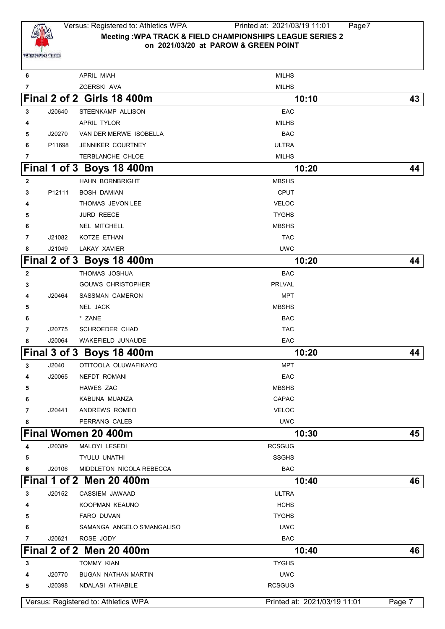

## Versus: Registered to: Athletics WPA Printed at: 2021/03/19 11:01 Page7 **Meeting :WPA TRACK & FIELD CHAMPIONSHIPS LEAGUE SERIES 2 on 2021/03/20 at PAROW & GREEN POINT**

| 6            |        | <b>APRIL MIAH</b>                    | <b>MILHS</b>                 |        |
|--------------|--------|--------------------------------------|------------------------------|--------|
| 7            |        | ZGERSKI AVA                          | <b>MILHS</b>                 |        |
|              |        | <b>Final 2 of 2 Girls 18 400m</b>    | 10:10                        | 43     |
| 3            | J20640 | STEENKAMP ALLISON                    | EAC                          |        |
| 4            |        | APRIL TYLOR                          | <b>MILHS</b>                 |        |
| 5            | J20270 | VAN DER MERWE ISOBELLA               | <b>BAC</b>                   |        |
| 6            | P11698 | JENNIKER COURTNEY                    | <b>ULTRA</b>                 |        |
| 7            |        | TERBLANCHE CHLOE                     | <b>MILHS</b>                 |        |
|              |        | Final 1 of 3 Boys 18 400m            | 10:20                        | 44     |
| $\mathbf{2}$ |        | <b>HAHN BORNBRIGHT</b>               | <b>MBSHS</b>                 |        |
| 3            | P12111 | <b>BOSH DAMIAN</b>                   | <b>CPUT</b>                  |        |
| 4            |        | THOMAS JEVON LEE                     | <b>VELOC</b>                 |        |
| 5            |        | <b>JURD REECE</b>                    | <b>TYGHS</b>                 |        |
| 6            |        | <b>NEL MITCHELL</b>                  | <b>MBSHS</b>                 |        |
| 7            | J21082 | KOTZE ETHAN                          | <b>TAC</b>                   |        |
| 8            | J21049 | LAKAY XAVIER                         | <b>UWC</b>                   |        |
|              |        | Final 2 of 3 Boys 18 400m            | 10:20                        | 44     |
| 2            |        | THOMAS JOSHUA                        | <b>BAC</b>                   |        |
| 3            |        | <b>GOUWS CHRISTOPHER</b>             | <b>PRLVAL</b>                |        |
| 4            | J20464 | <b>SASSMAN CAMERON</b>               | <b>MPT</b>                   |        |
| 5            |        | NEL JACK                             | <b>MBSHS</b>                 |        |
| 6            |        | * ZANE                               | <b>BAC</b>                   |        |
| 7            | J20775 | <b>SCHROEDER CHAD</b>                | <b>TAC</b>                   |        |
| 8            | J20064 | WAKEFIELD JUNAUDE                    | EAC                          |        |
|              |        | Final 3 of 3 Boys 18 400m            | 10:20                        | 44     |
| 3            | J2040  | OTITOOLA OLUWAFIKAYO                 | <b>MPT</b>                   |        |
| 4            | J20065 | NEFDT ROMANI                         | EAC                          |        |
| 5            |        | <b>HAWES ZAC</b>                     | <b>MBSHS</b>                 |        |
| 6            |        | KABUNA MUANZA                        | <b>CAPAC</b>                 |        |
| 7            | J20441 | ANDREWS ROMEO                        | <b>VELOC</b>                 |        |
| 8            |        | PERRANG CALEB                        | <b>UWC</b>                   |        |
|              |        | Final Women 20 400m                  | 10:30                        | 45     |
| 4            | J20389 | MALOYI LESEDI                        | <b>RCSGUG</b>                |        |
| 5            |        | TYULU UNATHI                         | <b>SSGHS</b>                 |        |
| 6            | J20106 | MIDDLETON NICOLA REBECCA             | <b>BAC</b>                   |        |
|              |        | Final 1 of 2 Men 20 400m             | 10:40                        | 46     |
| 3            | J20152 | CASSIEM JAWAAD                       | <b>ULTRA</b>                 |        |
| 4            |        | KOOPMAN KEAUNO                       | <b>HCHS</b>                  |        |
| 5            |        | FARO DUVAN                           | <b>TYGHS</b>                 |        |
| 6            |        | SAMANGA ANGELO S'MANGALISO           | <b>UWC</b>                   |        |
| 7            | J20621 | ROSE JODY                            | <b>BAC</b>                   |        |
|              |        | Final 2 of 2 Men 20 400m             | 10:40                        | 46     |
| 3            |        | <b>TOMMY KIAN</b>                    | <b>TYGHS</b>                 |        |
| 4            | J20770 | <b>BUGAN NATHAN MARTIN</b>           | <b>UWC</b>                   |        |
| 5            | J20398 | NDALASI ATHABILE                     | <b>RCSGUG</b>                |        |
|              |        | Versus: Registered to: Athletics WPA | Printed at: 2021/03/19 11:01 | Page 7 |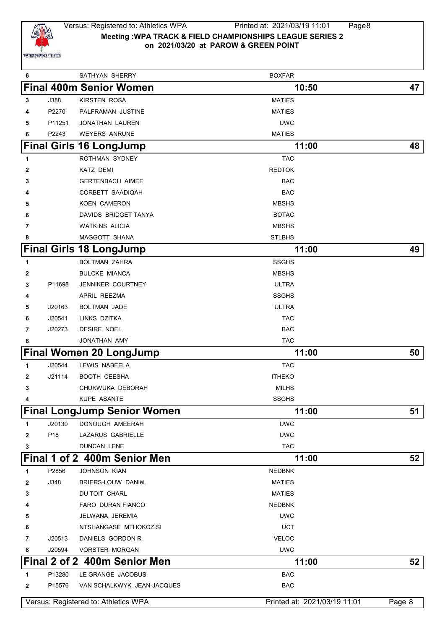

# Versus: Registered to: Athletics WPA Printed at: 2021/03/19 11:01 Page8 **Meeting :WPA TRACK & FIELD CHAMPIONSHIPS LEAGUE SERIES 2 on 2021/03/20 at PAROW & GREEN POINT**

| 6 |                 | SATHYAN SHERRY                       | <b>BOXFAR</b>                |        |
|---|-----------------|--------------------------------------|------------------------------|--------|
|   |                 | <b>Final 400m Senior Women</b>       | 10:50                        | 47     |
| 3 | J388            | KIRSTEN ROSA                         | <b>MATIES</b>                |        |
| 4 | P2270           | PALFRAMAN JUSTINE                    | <b>MATIES</b>                |        |
| 5 | P11251          | <b>JONATHAN LAUREN</b>               | <b>UWC</b>                   |        |
| 6 | P2243           | <b>WEYERS ANRUNE</b>                 | <b>MATIES</b>                |        |
|   |                 | <b>Final Girls 16 LongJump</b>       | 11:00                        | 48     |
| 1 |                 | ROTHMAN SYDNEY                       | <b>TAC</b>                   |        |
| 2 |                 | KATZ DEMI                            | <b>REDTOK</b>                |        |
| 3 |                 | <b>GERTENBACH AIMEE</b>              | <b>BAC</b>                   |        |
|   |                 | CORBETT SAADIQAH                     | <b>BAC</b>                   |        |
| 5 |                 | <b>KOEN CAMERON</b>                  | <b>MBSHS</b>                 |        |
| 6 |                 | DAVIDS BRIDGET TANYA                 | <b>BOTAC</b>                 |        |
| 7 |                 | <b>WATKINS ALICIA</b>                | <b>MBSHS</b>                 |        |
| 8 |                 | <b>MAGGOTT SHANA</b>                 | <b>STLBHS</b>                |        |
|   |                 | <b>Final Girls 18 LongJump</b>       | 11:00                        | 49     |
| 1 |                 | <b>BOLTMAN ZAHRA</b>                 | <b>SSGHS</b>                 |        |
| 2 |                 | <b>BULCKE MIANCA</b>                 | <b>MBSHS</b>                 |        |
| 3 | P11698          | <b>JENNIKER COURTNEY</b>             | <b>ULTRA</b>                 |        |
| 4 |                 | APRIL REEZMA                         | <b>SSGHS</b>                 |        |
| 5 | J20163          | <b>BOLTMAN JADE</b>                  | <b>ULTRA</b>                 |        |
| 6 | J20541          | LINKS DZITKA                         | <b>TAC</b>                   |        |
| 7 | J20273          | DESIRE NOEL                          | <b>BAC</b>                   |        |
| 8 |                 | JONATHAN AMY                         | <b>TAC</b>                   |        |
|   |                 | <b>Final Women 20 LongJump</b>       | 11:00                        | 50     |
| 1 | J20544          | LEWIS NABEELA                        | <b>TAC</b>                   |        |
| 2 | J21114          | <b>BOOTH CEESHA</b>                  | <b>ITHEKO</b>                |        |
| 3 |                 | CHUKWUKA DEBORAH                     | <b>MILHS</b>                 |        |
| 4 |                 | KUPE ASANTE                          | <b>SSGHS</b>                 |        |
|   |                 | <b>Final LongJump Senior Women</b>   | 11:00                        | 51     |
| 1 | J20130          | DONOUGH AMEERAH                      | <b>UWC</b>                   |        |
| 2 | P <sub>18</sub> | LAZARUS GABRIELLE                    | <b>UWC</b>                   |        |
| 3 |                 | <b>DUNCAN LENE</b>                   | <b>TAC</b>                   |        |
|   |                 | Final 1 of 2 400m Senior Men         | 11:00                        | 52     |
| 1 | P2856           | JOHNSON KIAN                         | <b>NEDBNK</b>                |        |
| 2 | J348            | BRIERS-LOUW DANIëL                   | <b>MATIES</b>                |        |
| 3 |                 | DU TOIT CHARL                        | <b>MATIES</b>                |        |
| 4 |                 | FARO DURAN FIANCO                    | <b>NEDBNK</b>                |        |
| 5 |                 | JELWANA JEREMIA                      | <b>UWC</b>                   |        |
| 6 |                 | NTSHANGASE MTHOKOZISI                | <b>UCT</b>                   |        |
| 7 | J20513          | DANIELS GORDON R                     | <b>VELOC</b>                 |        |
| 8 | J20594          | <b>VORSTER MORGAN</b>                | <b>UWC</b>                   |        |
|   |                 | Final 2 of 2 400m Senior Men         | 11:00                        | 52     |
| 1 | P13280          | LE GRANGE JACOBUS                    | <b>BAC</b>                   |        |
| 2 | P15576          | VAN SCHALKWYK JEAN-JACQUES           | <b>BAC</b>                   |        |
|   |                 | Versus: Registered to: Athletics WPA | Printed at: 2021/03/19 11:01 | Page 8 |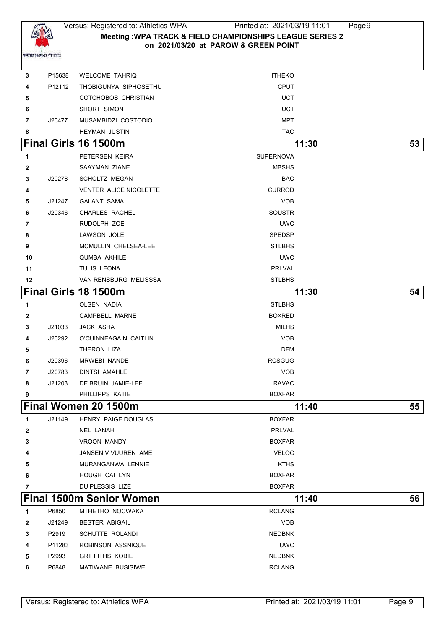

# Versus: Registered to: Athletics WPA Printed at: 2021/03/19 11:01 Page9 **Meeting :WPA TRACK & FIELD CHAMPIONSHIPS LEAGUE SERIES 2 on 2021/03/20 at PAROW & GREEN POINT**

| 3              | P15638 | <b>WELCOME TAHRIQ</b>           | <b>ITHEKO</b>    |    |
|----------------|--------|---------------------------------|------------------|----|
| 4              | P12112 | THOBIGUNYA SIPHOSETHU           | <b>CPUT</b>      |    |
| 5              |        | COTCHOBOS CHRISTIAN             | UCT              |    |
| 6              |        | SHORT SIMON                     | UCT              |    |
| 7              | J20477 | MUSAMBIDZI COSTODIO             | MPT              |    |
| 8              |        | <b>HEYMAN JUSTIN</b>            | <b>TAC</b>       |    |
|                |        | Final Girls 16 1500m            | 11:30            | 53 |
| 1              |        | PETERSEN KEIRA                  | <b>SUPERNOVA</b> |    |
| $\mathbf{2}$   |        | SAAYMAN ZIANE                   | <b>MBSHS</b>     |    |
| 3              | J20278 | <b>SCHOLTZ MEGAN</b>            | <b>BAC</b>       |    |
| 4              |        | <b>VENTER ALICE NICOLETTE</b>   | <b>CURROD</b>    |    |
| 5              | J21247 | <b>GALANT SAMA</b>              | <b>VOB</b>       |    |
| 6              | J20346 | <b>CHARLES RACHEL</b>           | <b>SOUSTR</b>    |    |
| 7              |        | RUDOLPH ZOE                     | <b>UWC</b>       |    |
| 8              |        | LAWSON JOLE                     | <b>SPEDSP</b>    |    |
| 9              |        | MCMULLIN CHELSEA-LEE            | <b>STLBHS</b>    |    |
| 10             |        | QUMBA AKHILE                    | <b>UWC</b>       |    |
| 11             |        | TULIS LEONA                     | PRLVAL           |    |
| 12             |        | VAN RENSBURG MELISSSA           | <b>STLBHS</b>    |    |
|                |        | Final Girls 18 1500m            | 11:30            | 54 |
| 1              |        | OLSEN NADIA                     | <b>STLBHS</b>    |    |
| $\mathbf{2}$   |        | CAMPBELL MARNE                  | <b>BOXRED</b>    |    |
| 3              | J21033 | JACK ASHA                       | MILHS            |    |
| 4              | J20292 | O'CUINNEAGAIN CAITLIN           | <b>VOB</b>       |    |
| 5              |        | THERON LIZA                     | <b>DFM</b>       |    |
| 6              | J20396 | <b>MRWEBI NANDE</b>             | <b>RCSGUG</b>    |    |
| $\overline{7}$ | J20783 | DINTSI AMAHLE                   | <b>VOB</b>       |    |
| 8              | J21203 | DE BRUIN JAMIE-LEE              | <b>RAVAC</b>     |    |
| 9              |        | PHILLIPPS KATIE                 | <b>BOXFAR</b>    |    |
|                |        | Final Women 20 1500m            | 11:40            | 55 |
| 1              | J21149 | HENRY PAIGE DOUGLAS             | <b>BOXFAR</b>    |    |
| 2              |        | NEL LANAH                       | PRLVAL           |    |
| 3              |        | <b>VROON MANDY</b>              | <b>BOXFAR</b>    |    |
| 4              |        | JANSEN V VUUREN AME             | <b>VELOC</b>     |    |
| 5              |        | MURANGANWA LENNIE               | <b>KTHS</b>      |    |
| 6              |        | <b>HOUGH CAITLYN</b>            | <b>BOXFAR</b>    |    |
| 7              |        | DU PLESSIS LIZE                 | <b>BOXFAR</b>    |    |
|                |        | <b>Final 1500m Senior Women</b> | 11:40            | 56 |
| 1              | P6850  | MTHETHO NOCWAKA                 | <b>RCLANG</b>    |    |
| $\mathbf{2}$   | J21249 | <b>BESTER ABIGAIL</b>           | <b>VOB</b>       |    |
| 3              | P2919  | <b>SCHUTTE ROLANDI</b>          | <b>NEDBNK</b>    |    |
| 4              | P11283 | ROBINSON ASSNIQUE               | <b>UWC</b>       |    |
| 5              | P2993  | <b>GRIFFITHS KOBIE</b>          | <b>NEDBNK</b>    |    |
| 6              | P6848  | MATIWANE BUSISIWE               | <b>RCLANG</b>    |    |
|                |        |                                 |                  |    |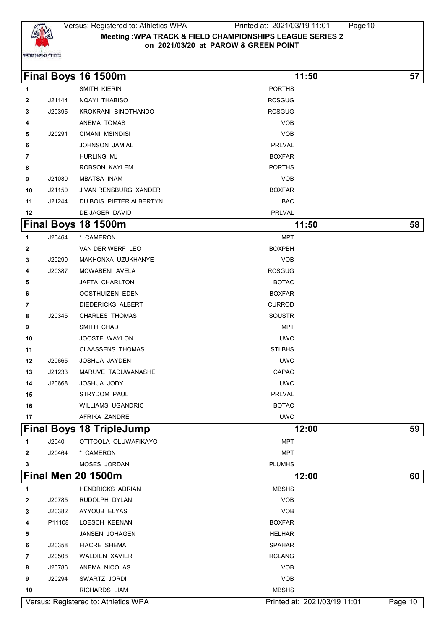

#### Versus: Registered to: Athletics WPA Printed at: 2021/03/19 11:01 Page10 **Meeting :WPA TRACK & FIELD CHAMPIONSHIPS LEAGUE SERIES 2 on 2021/03/20 at PAROW & GREEN POINT**

|              |        | Final Boys 16 1500m                  | 11:50                        | 57      |
|--------------|--------|--------------------------------------|------------------------------|---------|
| $\mathbf{1}$ |        | SMITH KIERIN                         | <b>PORTHS</b>                |         |
| $\mathbf{2}$ | J21144 | NQAYI THABISO                        | <b>RCSGUG</b>                |         |
| 3            | J20395 | KROKRANI SINOTHANDO                  | <b>RCSGUG</b>                |         |
| 4            |        | ANEMA TOMAS                          | <b>VOB</b>                   |         |
| 5            | J20291 | CIMANI MSINDISI                      | <b>VOB</b>                   |         |
| 6            |        | JOHNSON JAMIAL                       | PRLVAL                       |         |
| 7            |        | <b>HURLING MJ</b>                    | <b>BOXFAR</b>                |         |
| 8            |        | ROBSON KAYLEM                        | <b>PORTHS</b>                |         |
| 9            | J21030 | <b>MBATSA INAM</b>                   | <b>VOB</b>                   |         |
| 10           | J21150 | J VAN RENSBURG XANDER                | <b>BOXFAR</b>                |         |
| 11           | J21244 | DU BOIS PIETER ALBERTYN              | <b>BAC</b>                   |         |
| 12           |        | DE JAGER DAVID                       | PRLVAL                       |         |
|              |        | Final Boys 18 1500m                  | 11:50                        | 58      |
| $\mathbf{1}$ | J20464 | * CAMERON                            | <b>MPT</b>                   |         |
| $\mathbf{2}$ |        | VAN DER WERF LEO                     | <b>BOXPBH</b>                |         |
| 3            | J20290 | MAKHONXA UZUKHANYE                   | <b>VOB</b>                   |         |
| 4            | J20387 | MCWABENI AVELA                       | <b>RCSGUG</b>                |         |
| 5            |        | JAFTA CHARLTON                       | <b>BOTAC</b>                 |         |
| 6            |        | OOSTHUIZEN EDEN                      | <b>BOXFAR</b>                |         |
| 7            |        | DIEDERICKS ALBERT                    | <b>CURROD</b>                |         |
| 8            | J20345 | <b>CHARLES THOMAS</b>                | <b>SOUSTR</b>                |         |
| 9            |        | SMITH CHAD                           | <b>MPT</b>                   |         |
| 10           |        | JOOSTE WAYLON                        | <b>UWC</b>                   |         |
| 11           |        | <b>CLAASSENS THOMAS</b>              | <b>STLBHS</b>                |         |
| 12           | J20665 | JOSHUA JAYDEN                        | <b>UWC</b>                   |         |
| 13           | J21233 | MARUVE TADUWANASHE                   | CAPAC                        |         |
| 14           | J20668 | JOSHUA JODY                          | <b>UWC</b>                   |         |
| 15           |        | <b>STRYDOM PAUL</b>                  | <b>PRLVAL</b>                |         |
| 16           |        | WILLIAMS UGANDRIC                    | <b>BOTAC</b>                 |         |
| 17           |        | AFRIKA ZANDRE                        | <b>UWC</b>                   |         |
|              |        | <b>Final Boys 18 TripleJump</b>      | 12:00                        | 59      |
| 1            | J2040  | OTITOOLA OLUWAFIKAYO                 | <b>MPT</b>                   |         |
| $\mathbf{2}$ | J20464 | * CAMERON                            | <b>MPT</b>                   |         |
| 3            |        | MOSES JORDAN                         | <b>PLUMHS</b>                |         |
|              |        | <b>Final Men 20 1500m</b>            | 12:00                        | 60      |
| 1            |        | <b>HENDRICKS ADRIAN</b>              | <b>MBSHS</b>                 |         |
| $\mathbf{2}$ | J20785 | RUDOLPH DYLAN                        | <b>VOB</b>                   |         |
| 3            | J20382 | AYYOUB ELYAS                         | <b>VOB</b>                   |         |
| 4            | P11108 | LOESCH KEENAN                        | <b>BOXFAR</b>                |         |
| 5            |        | JANSEN JOHAGEN                       | <b>HELHAR</b>                |         |
| 6            | J20358 | <b>FIACRE SHEMA</b>                  | <b>SPAHAR</b>                |         |
| 7            | J20508 | <b>WALDIEN XAVIER</b>                | <b>RCLANG</b>                |         |
| 8            | J20786 | ANEMA NICOLAS                        | <b>VOB</b>                   |         |
| 9            | J20294 | SWARTZ JORDI                         | <b>VOB</b>                   |         |
| 10           |        | RICHARDS LIAM                        | <b>MBSHS</b>                 |         |
|              |        | Versus: Registered to: Athletics WPA | Printed at: 2021/03/19 11:01 | Page 10 |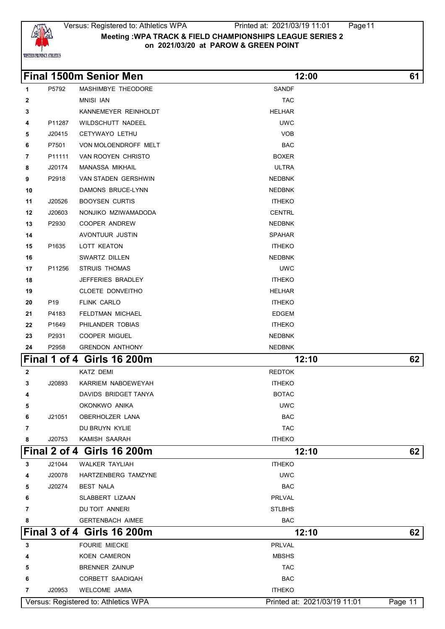

#### Versus: Registered to: Athletics WPA Printed at: 2021/03/19 11:01 Page11 **Meeting :WPA TRACK & FIELD CHAMPIONSHIPS LEAGUE SERIES 2 on 2021/03/20 at PAROW & GREEN POINT**

|              |                 | <b>Final 1500m Senior Men</b>     | 12:00         | 61 |
|--------------|-----------------|-----------------------------------|---------------|----|
| 1            | P5792           | MASHIMBYE THEODORE                | <b>SANDF</b>  |    |
| $\mathbf{2}$ |                 | <b>MNISI IAN</b>                  | <b>TAC</b>    |    |
| 3            |                 | KANNEMEYER REINHOLDT              | <b>HELHAR</b> |    |
| 4            | P11287          | WILDSCHUTT NADEEL                 | <b>UWC</b>    |    |
| 5            | J20415          | CETYWAYO LETHU                    | <b>VOB</b>    |    |
| 6            | P7501           | VON MOLOENDROFF MELT              | <b>BAC</b>    |    |
| 7            | P11111          | VAN ROOYEN CHRISTO                | <b>BOXER</b>  |    |
| 8            | J20174          | <b>MANASSA MIKHAIL</b>            | <b>ULTRA</b>  |    |
| 9            | P2918           | VAN STADEN GERSHWIN               | <b>NEDBNK</b> |    |
| 10           |                 | DAMONS BRUCE-LYNN                 | <b>NEDBNK</b> |    |
| 11           | J20526          | <b>BOOYSEN CURTIS</b>             | <b>ITHEKO</b> |    |
| 12           | J20603          | NONJIKO MZIWAMADODA               | <b>CENTRL</b> |    |
| 13           | P2930           | <b>COOPER ANDREW</b>              | <b>NEDBNK</b> |    |
| 14           |                 | AVONTUUR JUSTIN                   | <b>SPAHAR</b> |    |
| 15           | P1635           | LOTT KEATON                       | <b>ITHEKO</b> |    |
| 16           |                 | SWARTZ DILLEN                     | <b>NEDBNK</b> |    |
| 17           | P11256          | STRUIS THOMAS                     | <b>UWC</b>    |    |
| 18           |                 | JEFFERIES BRADLEY                 | <b>ITHEKO</b> |    |
| 19           |                 | CLOETE DONVEITHO                  | <b>HELHAR</b> |    |
| 20           | P <sub>19</sub> | FLINK CARLO                       | <b>ITHEKO</b> |    |
| 21           | P4183           | FELDTMAN MICHAEL                  | <b>EDGEM</b>  |    |
| 22           | P1649           | PHILANDER TOBIAS                  | <b>ITHEKO</b> |    |
| 23           | P2931           | COOPER MIGUEL                     | <b>NEDBNK</b> |    |
| 24           | P2958           | <b>GRENDON ANTHONY</b>            | <b>NEDBNK</b> |    |
|              |                 | <b>Final 1 of 4 Girls 16 200m</b> | 12:10         | 62 |
| $\mathbf{2}$ |                 | KATZ DEMI                         | <b>REDTOK</b> |    |
| 3            | J20893          | KARRIEM NABOEWEYAH                | <b>ITHEKO</b> |    |
| 4            |                 | DAVIDS BRIDGET TANYA              | <b>BOTAC</b>  |    |
| 5            |                 | OKONKWO ANIKA                     | <b>UWC</b>    |    |
| 6            |                 | J21051 OBERHOLZER LANA            | <b>BAC</b>    |    |
| 7            |                 | DU BRUYN KYLIE                    | <b>TAC</b>    |    |
| 8            |                 | J20753 KAMISH SAARAH              | <b>ITHEKO</b> |    |
|              |                 | <b>Final 2 of 4 Girls 16 200m</b> | 12:10         | 62 |
| $\mathbf{3}$ | J21044          | <b>WALKER TAYLIAH</b>             | <b>ITHEKO</b> |    |
| 4            | J20078          | HARTZENBERG TAMZYNE               | <b>UWC</b>    |    |
| 5            | J20274          | <b>BEST NALA</b>                  | BAC           |    |
| 6            |                 | SLABBERT LIZAAN                   | PRLVAL        |    |
| 7            |                 | DU TOIT ANNERI                    | <b>STLBHS</b> |    |
| 8            |                 | <b>GERTENBACH AIMEE</b>           | <b>BAC</b>    |    |
|              |                 | <b>Final 3 of 4 Girls 16 200m</b> | 12:10         | 62 |
| $\mathbf{3}$ |                 | <b>FOURIE MIECKE</b>              | PRLVAL        |    |
| 4            |                 | KOEN CAMERON                      | <b>MBSHS</b>  |    |
| 5            |                 | BRENNER ZAINUP                    | <b>TAC</b>    |    |
| 6            |                 | CORBETT SAADIQAH                  | <b>BAC</b>    |    |

J20953 WELCOME JAMIA **ITHEKO**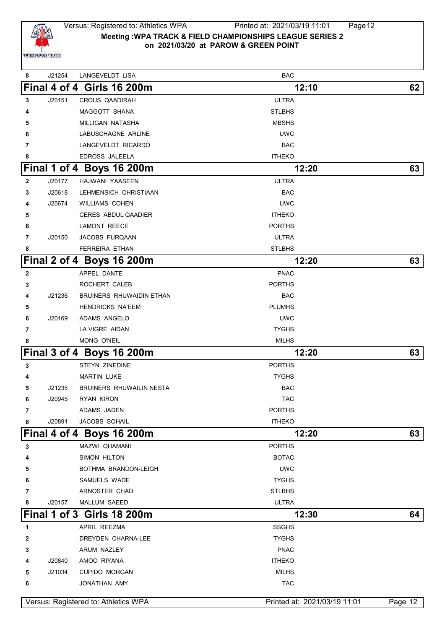

## Versus: Registered to: Athletics WPA Printed at: 2021/03/19 11:01 Page12 **Meeting :WPA TRACK & FIELD CHAMPIONSHIPS LEAGUE SERIES 2 on 2021/03/20 at PAROW & GREEN POINT**

 J21254 LANGEVELDT LISA BAC **Final 4 of 4 Girls 16 200m 12:10 62** J20151 CROUS QAADIRAH ULTRA MAGGOTT SHANA STLBHS MILLIGAN NATASHA MBSHS LABUSCHAGNE ARLINE UWC LANGEVELDT RICARDO BAC EDROSS JALEELA **ITHEKO Final 1 of 4 Boys 16 200m 12:20 63** J20177 HAJWANI YAASEEN ULTRA J20618 LEHMENSICH CHRISTIAAN BAC J20674 WILLIAMS COHEN UWC CERES ABDUL QAADIER **ITHEKO CAMONT REECE CONTRACTES PORTHS**  J20150 JACOBS FURQAAN ULTRA FERREIRA ETHAN STLBHS **Final 2 of 4 Boys 16 200m 12:20 63 APPEL DANTE PNAC**  ROCHERT CALEB **PORTHS**  J21236 BRUINERS RHUWAIDIN ETHAN BAC HENDRICKS NA'EEM **PLUMHS**  J20169 ADAMS ANGELO UWC **CA VIGRE AIDAN CAN AT A LA VIGRE AIDAN**  MONG O'NEIL MONG O'NEIL **Final 3 of 4 Boys 16 200m 12:20 63** STEYN ZINEDINE PORTHS MARTIN LUKE TYGHS J21235 BRUINERS RHUWAILIN NESTA BAC J20945 RYAN KIRON TAC ADAMS JADEN **PORTHS**  J20891 JACOBS SOHAIL **ITHEKO Final 4 of 4 Boys 16 200m 12:20 63** MAZWI QHAMANI PORTHS SIMON HILTON BOTAC BOTHMA BRANDON-LEIGH **EXAMPLE IS A BOTHMA BRANDON-LEIGH**  SAMUELS WADE *RI***NOSTER CHAD STLBHS**  J20157 MALLUM SAEED ULTRA **Final 1 of 3 Girls 18 200m 12:30 64** APRIL REEZMA SSGHS DREYDEN CHARNA-LEE **TYGHS**  ARUM NAZLEY **PNAC**  J20840 AMOO RIYANA **ITHEKO**  J21034 CUPIDO MORGAN MILHS JONATHAN AMY TAC Versus: Registered to: Athletics WPA Printed at: 2021/03/19 11:01 Page 12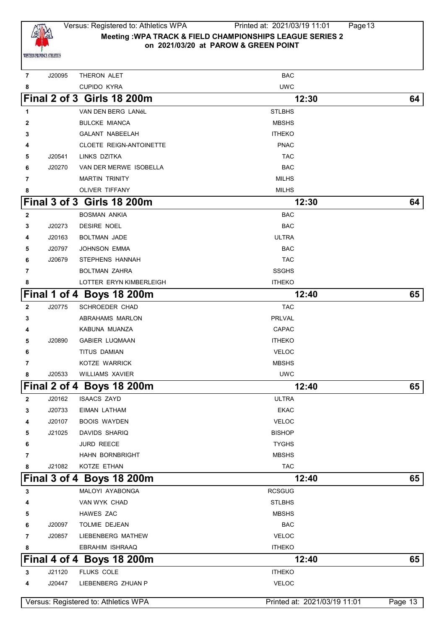

 J20095 THERON ALET BAC CUPIDO KYRA UWC **Final 2 of 3 Girls 18 200m 12:30 64** VAN DEN BERG LANÉL STLBHS BULCKE MIANCA **MBSHS**  GALANT NABEELAH ITHEKO CLOETE REIGN-ANTOINETTE **PRACES ASSAULT**ED **PRACES PRACES PRACES PRACES PRACES PRACES PRACES PRACES PRACES PRACES PRACES PRACES PRACES PRACES PRACES PRACES PRACES PRACES PRACES PROPERTY PRACES PROPERTY PROPERTY PROPERT**  J20541 LINKS DZITKA TAC J20270 VAN DER MERWE ISOBELLA BAC MARTIN TRINITY MILHS OLIVER TIFFANY **MILHS Final 3 of 3 Girls 18 200m 12:30 64** BOSMAN ANKIA BAC J20273 DESIRE NOEL **BAC**  J20163 BOLTMAN JADE ULTRA J20797 JOHNSON EMMA BAC J20679 STEPHENS HANNAH TAC BOLTMAN ZAHRA SSGHS LOTTER ERYN KIMBERLEIGH **ITHEKO Final 1 of 4 Boys 18 200m 12:40 65** J20775 SCHROEDER CHAD **TAC ABRAHAMS MARLON** PRLVAL KABUNA MUANZA CAPAC J20890 GABIER LUQMAAN ITHEKO TITUS DAMIAN VELOC KOTZE WARRICK MBSHS J20533 WILLIAMS XAVIER UWC **Final 2 of 4 Boys 18 200m 12:40 65** J20162 ISAACS ZAYD ULTRA J20733 EIMAN LATHAM EKAC J20107 BOOIS WAYDEN VELOC J21025 DAVIDS SHARIQ BISHOP **6** JURD REECE **TYGHS HAHN BORNBRIGHT MBSHS**  J21082 KOTZE ETHAN **TACK AND TACK IN TACK Final 3 of 4 Boys 18 200m 12:40 65** MALOYI AYABONGA **ROSSES**  VAN WYK CHAD STLBHS HAWES ZAC MBSHS J20097 TOLMIE DEJEAN BAC J20857 LIEBENBERG MATHEW VELOC **EBRAHIM ISHRAAQ ITHEKO Final 4 of 4 Boys 18 200m 12:40 65** J21120 FLUKS COLE **ITHEKO**  J20447 LIEBENBERG ZHUAN P VELOC Versus: Registered to: Athletics WPA **Printed at: 2021/03/19 11:01** Page 13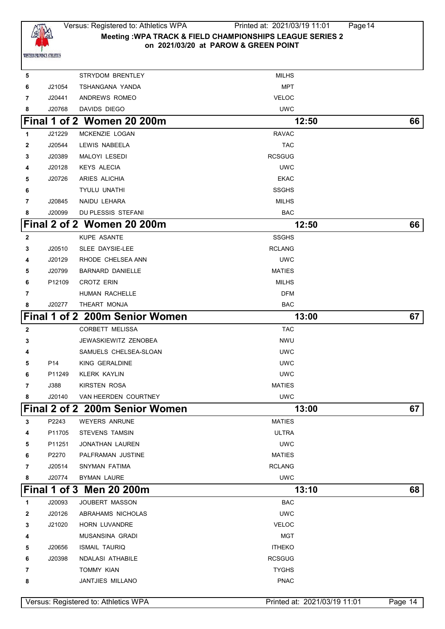

# Versus: Registered to: Athletics WPA Printed at: 2021/03/19 11:01 Page14 **Meeting :WPA TRACK & FIELD CHAMPIONSHIPS LEAGUE SERIES 2 on 2021/03/20 at PAROW & GREEN POINT**

| 5 |        | <b>STRYDOM BRENTLEY</b>              | MILHS                        |         |
|---|--------|--------------------------------------|------------------------------|---------|
| 6 | J21054 | TSHANGANA YANDA                      | <b>MPT</b>                   |         |
| 7 | J20441 | ANDREWS ROMEO                        | <b>VELOC</b>                 |         |
| 8 | J20768 | DAVIDS DIEGO                         | <b>UWC</b>                   |         |
|   |        | Final 1 of 2 Women 20 200m           | 12:50                        | 66      |
| 1 | J21229 | MCKENZIE LOGAN                       | <b>RAVAC</b>                 |         |
| 2 | J20544 | LEWIS NABEELA                        | <b>TAC</b>                   |         |
| 3 | J20389 | MALOYI LESEDI                        | RCSGUG                       |         |
| 4 | J20128 | <b>KEYS ALECIA</b>                   | <b>UWC</b>                   |         |
| 5 | J20726 | ARIES ALICHIA                        | <b>EKAC</b>                  |         |
| 6 |        | <b>TYULU UNATHI</b>                  | <b>SSGHS</b>                 |         |
| 7 | J20845 | NAIDU LEHARA                         | <b>MILHS</b>                 |         |
| 8 | J20099 | DU PLESSIS STEFANI                   | <b>BAC</b>                   |         |
|   |        | Final 2 of 2 Women 20 200m           | 12:50                        | 66      |
| 2 |        | <b>KUPE ASANTE</b>                   | <b>SSGHS</b>                 |         |
| 3 | J20510 | SLEE DAYSIE-LEE                      | <b>RCLANG</b>                |         |
| 4 | J20129 | RHODE CHELSEA ANN                    | <b>UWC</b>                   |         |
| 5 | J20799 | <b>BARNARD DANIELLE</b>              | <b>MATIES</b>                |         |
| 6 | P12109 | <b>CROTZ ERIN</b>                    | <b>MILHS</b>                 |         |
| 7 |        | <b>HUMAN RACHELLE</b>                | <b>DFM</b>                   |         |
| 8 | J20277 | THEART MONJA                         | <b>BAC</b>                   |         |
|   |        | Final 1 of 2 200m Senior Women       | 13:00                        | 67      |
| 2 |        | CORBETT MELISSA                      | <b>TAC</b>                   |         |
| 3 |        | <b>JEWASKIEWITZ ZENOBEA</b>          | <b>NWU</b>                   |         |
| 4 |        | SAMUELS CHELSEA-SLOAN                | <b>UWC</b>                   |         |
| 5 | P14    | KING GERALDINE                       | <b>UWC</b>                   |         |
| 6 | P11249 | <b>KLERK KAYLIN</b>                  | <b>UWC</b>                   |         |
| 7 | J388   | <b>KIRSTEN ROSA</b>                  | <b>MATIES</b>                |         |
| 8 | J20140 | VAN HEERDEN COURTNEY                 | <b>UWC</b>                   |         |
|   |        | Final 2 of 2 200m Senior Women       | 13:00                        | 67      |
| 3 | P2243  | <b>WEYERS ANRUNE</b>                 | <b>MATIES</b>                |         |
| 4 | P11705 | STEVENS TAMSIN                       | <b>ULTRA</b>                 |         |
| 5 | P11251 | <b>JONATHAN LAUREN</b>               | <b>UWC</b>                   |         |
| 6 | P2270  | PALFRAMAN JUSTINE                    | <b>MATIES</b>                |         |
| 7 | J20514 | SNYMAN FATIMA                        | <b>RCLANG</b>                |         |
| 8 | J20774 | <b>BYMAN LAURE</b>                   | <b>UWC</b>                   |         |
|   |        | Final 1 of 3 Men 20 200m             | 13:10                        | 68      |
| 1 | J20093 | JOUBERT MASSON                       | <b>BAC</b>                   |         |
| 2 | J20126 | ABRAHAMS NICHOLAS                    | <b>UWC</b>                   |         |
| 3 | J21020 | HORN LUVANDRE                        | <b>VELOC</b>                 |         |
| 4 |        | MUSANSINA GRADI                      | <b>MGT</b>                   |         |
| 5 | J20656 | <b>ISMAIL TAURIQ</b>                 | <b>ITHEKO</b>                |         |
| 6 | J20398 | NDALASI ATHABILE                     | <b>RCSGUG</b>                |         |
| 7 |        | <b>TOMMY KIAN</b>                    | <b>TYGHS</b>                 |         |
| 8 |        | JANTJIES MILLANO                     | <b>PNAC</b>                  |         |
|   |        |                                      |                              |         |
|   |        | Versus: Registered to: Athletics WPA | Printed at: 2021/03/19 11:01 | Page 14 |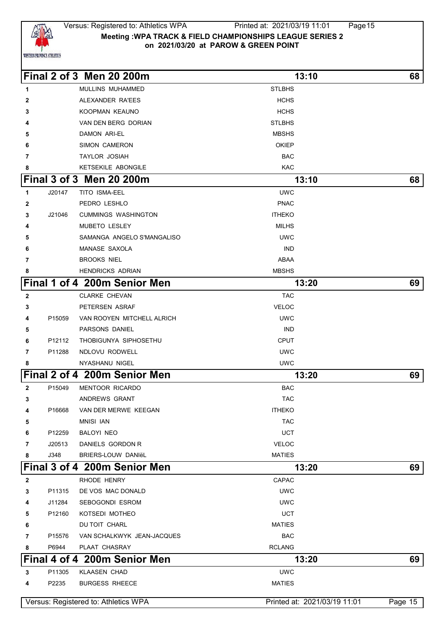

#### Versus: Registered to: Athletics WPA Printed at: 2021/03/19 11:01 Page15 **Meeting :WPA TRACK & FIELD CHAMPIONSHIPS LEAGUE SERIES 2 on 2021/03/20 at PAROW & GREEN POINT**

|                                 |        | Final 2 of 3 Men 20 200m     | 13:10         | 68 |
|---------------------------------|--------|------------------------------|---------------|----|
| $\mathbf 1$                     |        | MULLINS MUHAMMED             | <b>STLBHS</b> |    |
| $\mathbf{2}$                    |        | ALEXANDER RA'EES             | <b>HCHS</b>   |    |
| 3                               |        | KOOPMAN KEAUNO               | <b>HCHS</b>   |    |
| 4                               |        | VAN DEN BERG DORIAN          | <b>STLBHS</b> |    |
| 5                               |        | <b>DAMON ARI-EL</b>          | <b>MBSHS</b>  |    |
| 6                               |        | SIMON CAMERON                | <b>OKIEP</b>  |    |
| 7                               |        | <b>TAYLOR JOSIAH</b>         | <b>BAC</b>    |    |
| 8                               |        | KETSEKILE ABONGILE           | <b>KAC</b>    |    |
| <b>Final 3 of 3 Men 20 200m</b> |        |                              | 13:10         | 68 |
| $\overline{1}$                  | J20147 | TITO ISMA-EEL                | <b>UWC</b>    |    |
| $\overline{2}$                  |        | PEDRO LESHLO                 | <b>PNAC</b>   |    |
| 3                               | J21046 | <b>CUMMINGS WASHINGTON</b>   | <b>ITHEKO</b> |    |
| 4                               |        | <b>MUBETO LESLEY</b>         | <b>MILHS</b>  |    |
| 5                               |        | SAMANGA ANGELO S'MANGALISO   | <b>UWC</b>    |    |
| 6                               |        | MANASE SAXOLA                | <b>IND</b>    |    |
| $\overline{7}$                  |        | <b>BROOKS NIEL</b>           | ABAA          |    |
| 8                               |        | <b>HENDRICKS ADRIAN</b>      | <b>MBSHS</b>  |    |
|                                 |        | Final 1 of 4 200m Senior Men | 13:20         | 69 |
| $\overline{2}$                  |        | <b>CLARKE CHEVAN</b>         | <b>TAC</b>    |    |
| 3                               |        | PETERSEN ASRAF               | <b>VELOC</b>  |    |
| 4                               | P15059 | VAN ROOYEN MITCHELL ALRICH   | <b>UWC</b>    |    |
| 5                               |        | <b>PARSONS DANIEL</b>        | <b>IND</b>    |    |
| 6                               | P12112 | THOBIGUNYA SIPHOSETHU        | <b>CPUT</b>   |    |
| $\overline{7}$                  | P11288 | NDLOVU RODWELL               | <b>UWC</b>    |    |
| 8                               |        | NYASHANU NIGEL               | <b>UWC</b>    |    |
|                                 |        | Final 2 of 4 200m Senior Men | 13:20         | 69 |
| $\overline{2}$                  | P15049 | <b>MENTOOR RICARDO</b>       | <b>BAC</b>    |    |
| 3                               |        | ANDREWS GRANT                | <b>TAC</b>    |    |
| $\overline{A}$                  |        | D16668 VAN DED MEDWE KEECAN  | ITUEXO        |    |

 P15059 VAN ROOYEN MITCHELL ALRICH UWC **Example 2** PARSONS DANIEL **IND**  P12112 THOBIGUNYA SIPHOSETHU CPUT P11288 NDLOVU RODWELL **In the UWC**  NYASHANU NIGEL UWC **Final 2 of 4 200m Senior Men 13:20 69** P15049 MENTOOR RICARDO BAC ANDREWS GRANT TAC P16668 VAN DER MERWE KEEGAN **ITHEKO**  MNISI IAN TAC P12259 BALOYI NEO UCT J20513 DANIELS GORDON R VELOC J348 BRIERS-LOUW DANIëL MATIES **Final 3 of 4 200m Senior Men 13:20 69** RHODE HENRY **CAPAC**  P11315 DE VOS MAC DONALD UWC J11284 SEBOGONDI ESROM UWC P12160 KOTSEDI MOTHEO UCT DU TOIT CHARL **MATIES**  P15576 VAN SCHALKWYK JEAN-JACQUES BAC P6944 PLAAT CHASRAY **ROUGAL CONSTRUCTS Final 4 of 4 200m Senior Men 13:20 69** P11305 KLAASEN CHAD UWC P2235 BURGESS RHEECE **And SECURE 2018** MATIES

Versus: Registered to: Athletics WPA **Printed at: 2021/03/19 11:01** Page 15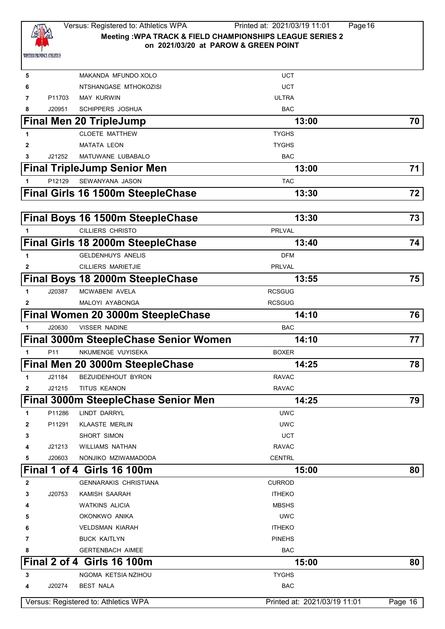

# Versus: Registered to: Athletics WPA Printed at: 2021/03/19 11:01 Page16 **Meeting :WPA TRACK & FIELD CHAMPIONSHIPS LEAGUE SERIES 2 on 2021/03/20 at PAROW & GREEN POINT**

| 5            |                 | MAKANDA MFUNDO XOLO                      | <b>UCT</b>                   |         |
|--------------|-----------------|------------------------------------------|------------------------------|---------|
| 6            |                 | NTSHANGASE MTHOKOZISI                    | <b>UCT</b>                   |         |
| 7            | P11703          | <b>MAY KURWIN</b>                        | <b>ULTRA</b>                 |         |
| 8            | J20951          | <b>SCHIPPERS JOSHUA</b>                  | <b>BAC</b>                   |         |
|              |                 | <b>Final Men 20 TripleJump</b>           | 13:00                        | 70      |
| 1            |                 | <b>CLOETE MATTHEW</b>                    | <b>TYGHS</b>                 |         |
| 2            |                 | <b>MATATA LEON</b>                       | <b>TYGHS</b>                 |         |
| 3            | J21252          | MATUWANE LUBABALO                        | <b>BAC</b>                   |         |
|              |                 | <b>Final TripleJump Senior Men</b>       | 13:00                        | 71      |
|              | P12129          | SEWANYANA JASON                          | <b>TAC</b>                   |         |
|              |                 | <b>Final Girls 16 1500m SteepleChase</b> | 13:30                        | 72      |
|              |                 |                                          |                              |         |
|              |                 | <b>Final Boys 16 1500m SteepleChase</b>  | 13:30                        | 73      |
|              |                 | <b>CILLIERS CHRISTO</b>                  | <b>PRLVAL</b>                |         |
|              |                 | <b>Final Girls 18 2000m SteepleChase</b> | 13:40                        | 74      |
|              |                 | <b>GELDENHUYS ANELIS</b>                 | <b>DFM</b>                   |         |
| 2            |                 | <b>CILLIERS MARIETJIE</b>                | <b>PRLVAL</b>                |         |
|              |                 | Final Boys 18 2000m SteepleChase         | 13:55                        | 75      |
| 1            | J20387          | MCWABENI AVELA                           | <b>RCSGUG</b>                |         |
| 2            |                 | MALOYI AYABONGA                          | <b>RCSGUG</b>                |         |
|              |                 | Final Women 20 3000m SteepleChase        | 14:10                        | 76      |
|              | J20630          | <b>VISSER NADINE</b>                     | <b>BAC</b>                   |         |
|              |                 | Final 3000m SteepleChase Senior Women    | 14:10                        | 77 I    |
| 1            | P <sub>11</sub> | NKUMENGE VUYISEKA                        | <b>BOXER</b>                 |         |
|              |                 | Final Men 20 3000m SteepleChase          | 14:25                        | 78      |
| 1            | J21184          | BEZUIDENHOUT BYRON                       | <b>RAVAC</b>                 |         |
| $\mathbf{2}$ | J21215          | <b>TITUS KEANON</b>                      | <b>RAVAC</b>                 |         |
|              |                 | Final 3000m SteepleChase Senior Men      | 14:25                        | 79      |
| 1            | P11286          | LINDT DARRYL                             | <b>UWC</b>                   |         |
| 2            | P11291          | <b>KLAASTE MERLIN</b>                    | <b>UWC</b>                   |         |
| 3            |                 | SHORT SIMON                              | <b>UCT</b>                   |         |
| 4            | J21213          | <b>WILLIAMS NATHAN</b>                   | <b>RAVAC</b>                 |         |
| 5            | J20603          | NONJIKO MZIWAMADODA                      | <b>CENTRL</b>                |         |
|              |                 | <b>Final 1 of 4 Girls 16 100m</b>        | 15:00                        | 80      |
| 2            |                 | <b>GENNARAKIS CHRISTIANA</b>             | <b>CURROD</b>                |         |
| 3            | J20753          | KAMISH SAARAH                            | <b>ITHEKO</b>                |         |
| 4            |                 | <b>WATKINS ALICIA</b>                    | <b>MBSHS</b>                 |         |
| 5            |                 | OKONKWO ANIKA                            | <b>UWC</b>                   |         |
| 6            |                 | <b>VELDSMAN KIARAH</b>                   | <b>ITHEKO</b>                |         |
| 7            |                 | <b>BUCK KAITLYN</b>                      | <b>PINEHS</b>                |         |
| 8            |                 | <b>GERTENBACH AIMEE</b>                  | <b>BAC</b>                   |         |
|              |                 | Final 2 of 4 Girls 16 100m               | 15:00                        | 80      |
| 3            |                 | NGOMA KETSIA NZIHOU                      | <b>TYGHS</b>                 |         |
| 4            | J20274          | <b>BEST NALA</b>                         | <b>BAC</b>                   |         |
|              |                 |                                          |                              |         |
|              |                 | Versus: Registered to: Athletics WPA     | Printed at: 2021/03/19 11:01 | Page 16 |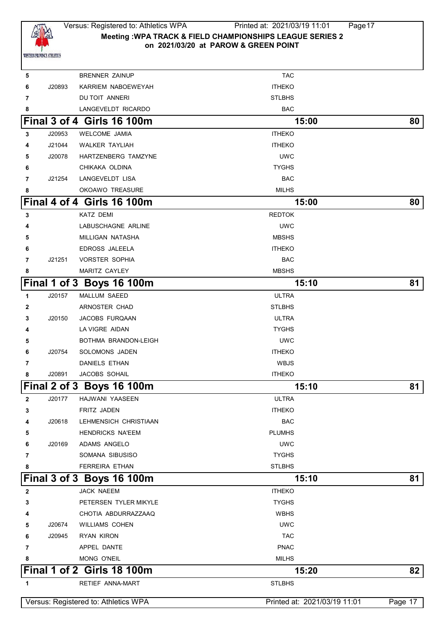

# Versus: Registered to: Athletics WPA Printed at: 2021/03/19 11:01 Page17 **Meeting :WPA TRACK & FIELD CHAMPIONSHIPS LEAGUE SERIES 2 on 2021/03/20 at PAROW & GREEN POINT**

| 5              |        | <b>BRENNER ZAINUP</b>                | <b>TAC</b>                   |         |
|----------------|--------|--------------------------------------|------------------------------|---------|
| 6              | J20893 | KARRIEM NABOEWEYAH                   | <b>ITHEKO</b>                |         |
| 7              |        | DU TOIT ANNERI                       | <b>STLBHS</b>                |         |
| 8              |        | LANGEVELDT RICARDO                   | <b>BAC</b>                   |         |
|                |        | Final 3 of 4 Girls 16 100m           | 15:00                        | 80      |
| 3              | J20953 | <b>WELCOME JAMIA</b>                 | <b>ITHEKO</b>                |         |
| 4              | J21044 | <b>WALKER TAYLIAH</b>                | <b>ITHEKO</b>                |         |
| 5              | J20078 | HARTZENBERG TAMZYNE                  | <b>UWC</b>                   |         |
| 6              |        | CHIKAKA OLDINA                       | <b>TYGHS</b>                 |         |
| $\overline{7}$ | J21254 | LANGEVELDT LISA                      | <b>BAC</b>                   |         |
| 8              |        | OKOAWO TREASURE                      | MILHS                        |         |
|                |        | Final 4 of 4 Girls 16 100m           | 15:00                        | 80      |
| 3              |        | KATZ DEMI                            | <b>REDTOK</b>                |         |
| 4              |        | LABUSCHAGNE ARLINE                   | <b>UWC</b>                   |         |
| 5              |        | MILLIGAN NATASHA                     | <b>MBSHS</b>                 |         |
| 6              |        | <b>EDROSS JALEELA</b>                | <b>ITHEKO</b>                |         |
| $\overline{7}$ | J21251 | <b>VORSTER SOPHIA</b>                | <b>BAC</b>                   |         |
| 8              |        | MARITZ CAYLEY                        | <b>MBSHS</b>                 |         |
|                |        | Final 1 of 3 Boys 16 100m            | 15:10                        | 81      |
| 1              | J20157 | MALLUM SAEED                         | <b>ULTRA</b>                 |         |
| 2              |        | ARNOSTER CHAD                        | <b>STLBHS</b>                |         |
| 3              | J20150 | JACOBS FURQAAN                       | <b>ULTRA</b>                 |         |
| 4              |        | LA VIGRE AIDAN                       | <b>TYGHS</b>                 |         |
| 5              |        | BOTHMA BRANDON-LEIGH                 | <b>UWC</b>                   |         |
| 6              | J20754 | SOLOMONS JADEN                       | <b>ITHEKO</b>                |         |
| 7              |        | <b>DANIELS ETHAN</b>                 | WBJS                         |         |
| 8              | J20891 | JACOBS SOHAIL                        | <b>ITHEKO</b>                |         |
|                |        | Final 2 of 3 Boys 16 100m            | 15:10                        | 81      |
| $\mathbf{2}$   | J20177 | HAJWANI YAASEEN                      | <b>ULTRA</b>                 |         |
| 3              |        | <b>FRITZ JADEN</b>                   | <b>ITHEKO</b>                |         |
| 4              | J20618 | LEHMENSICH CHRISTIAAN                | <b>BAC</b>                   |         |
| 5              |        | <b>HENDRICKS NA'EEM</b>              | <b>PLUMHS</b>                |         |
| 6              | J20169 | ADAMS ANGELO                         | <b>UWC</b>                   |         |
| 7              |        | SOMANA SIBUSISO                      | <b>TYGHS</b>                 |         |
| 8              |        | <b>FERREIRA ETHAN</b>                | <b>STLBHS</b>                |         |
|                |        | Final 3 of 3 Boys 16 100m            | 15:10                        | 81      |
| 2              |        | JACK NAEEM                           | <b>ITHEKO</b>                |         |
| З              |        | PETERSEN TYLER MIKYLE                | <b>TYGHS</b>                 |         |
| 4              |        | CHOTIA ABDURRAZZAAQ                  | <b>WBHS</b>                  |         |
| 5              | J20674 | <b>WILLIAMS COHEN</b>                | <b>UWC</b>                   |         |
| 6              | J20945 | <b>RYAN KIRON</b>                    | <b>TAC</b>                   |         |
| 7              |        | APPEL DANTE                          | <b>PNAC</b>                  |         |
| 8              |        | MONG O'NEIL                          | <b>MILHS</b>                 |         |
|                |        | Final 1 of 2 Girls 18 100m           | 15:20                        | 82      |
| 1              |        | RETIEF ANNA-MART                     | <b>STLBHS</b>                |         |
|                |        | Versus: Registered to: Athletics WPA | Printed at: 2021/03/19 11:01 | Page 17 |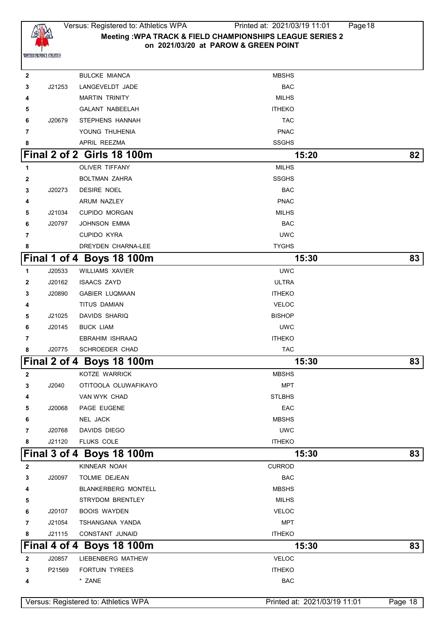

 BULCKE MIANCA MBSHS J21253 LANGEVELDT JADE BAC MARTIN TRINITY **MILHS**  GALANT NABEELAH **ITHEKO**  J20679 STEPHENS HANNAH TAC YOUNG THUHENIA **PNAC**  APRIL REEZMA SSGHS **Final 2 of 2 Girls 18 100m 15:20 82** OLIVER TIFFANY **MILHS**  BOLTMAN ZAHRA SSGHS J20273 DESIRE NOEL BAC ARUM NAZLEY **ARUM NAZLEY PNAC**  J21034 CUPIDO MORGAN MILHS J20797 JOHNSON EMMA BAC CUPIDO KYRA UWC UWC UWC UWC UWC UWC DREYDEN CHARNA-LEE **THE SERVICE SERVICE SERVICES Final 1 of 4 Boys 18 100m 15:30 83** J20533 WILLIAMS XAVIER UWC J20162 ISAACS ZAYD ULTRA J20890 GABIER LUQMAAN **ITHEKO**  TITUS DAMIAN **VELOC**  J21025 DAVIDS SHARIQ **BISHOP** BISHOP J20145 BUCK LIAM UWC EBRAHIM ISHRAAQ **ITHEKO**  J20775 SCHROEDER CHAD TAC **Final 2 of 4 Boys 18 100m 15:30 83** KOTZE WARRICK MBSHS J2040 OTITOOLA OLUWAFIKAYO MPT VAN WYK CHAD STLBHS J20068 PAGE EUGENE **EXAMPLE EXAMPLE EAC**  NEL JACK MBSHS J20768 DAVIDS DIEGO UWC J21120 FLUKS COLE **ITHEKO Final 3 of 4 Boys 18 100m 15:30 83** KINNEAR NOAH **CURROD**  J20097 TOLMIE DEJEAN **BAC**  BLANKERBERG MONTELL **ALCOHOL:** MBSHS STRYDOM BRENTLEY MILHS J20107 BOOIS WAYDEN VELOC J21054 TSHANGANA YANDA MPT J21115 CONSTANT JUNAID **ITHEKO Final 4 of 4 Boys 18 100m 15:30 83** J20857 LIEBENBERG MATHEW VELOC P21569 FORTUIN TYREES **ITHEKO** \* ZANE BAC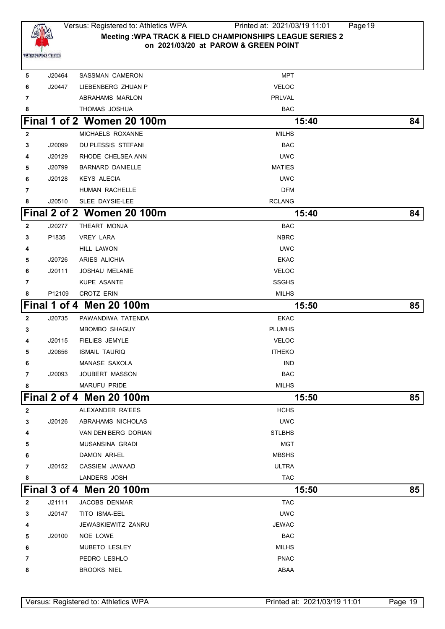

## Versus: Registered to: Athletics WPA Printed at: 2021/03/19 11:01 Page19 **Meeting :WPA TRACK & FIELD CHAMPIONSHIPS LEAGUE SERIES 2 on 2021/03/20 at PAROW & GREEN POINT**

| 5              | J20464 | SASSMAN CAMERON            | MPT           |    |
|----------------|--------|----------------------------|---------------|----|
| 6              | J20447 | LIEBENBERG ZHUAN P         | <b>VELOC</b>  |    |
| 7              |        | <b>ABRAHAMS MARLON</b>     | PRLVAL        |    |
| 8              |        | THOMAS JOSHUA              | <b>BAC</b>    |    |
|                |        | Final 1 of 2 Women 20 100m | 15:40         | 84 |
| $\mathbf{2}$   |        | MICHAELS ROXANNE           | <b>MILHS</b>  |    |
| 3              | J20099 | DU PLESSIS STEFANI         | <b>BAC</b>    |    |
| 4              | J20129 | RHODE CHELSEA ANN          | <b>UWC</b>    |    |
| 5              | J20799 | <b>BARNARD DANIELLE</b>    | <b>MATIES</b> |    |
| 6              | J20128 | <b>KEYS ALECIA</b>         | <b>UWC</b>    |    |
| 7              |        | HUMAN RACHELLE             | <b>DFM</b>    |    |
| 8              | J20510 | SLEE DAYSIE-LEE            | <b>RCLANG</b> |    |
|                |        | Final 2 of 2 Women 20 100m | 15:40         | 84 |
| $\mathbf{2}$   | J20277 | THEART MONJA               | <b>BAC</b>    |    |
| 3              | P1835  | <b>VREY LARA</b>           | <b>NBRC</b>   |    |
| 4              |        | HILL LAWON                 | <b>UWC</b>    |    |
| 5              | J20726 | ARIES ALICHIA              | <b>EKAC</b>   |    |
| 6              | J20111 | <b>JOSHAU MELANIE</b>      | <b>VELOC</b>  |    |
| 7              |        | KUPE ASANTE                | <b>SSGHS</b>  |    |
| 8              | P12109 | <b>CROTZ ERIN</b>          | <b>MILHS</b>  |    |
|                |        | Final 1 of 4 Men 20 100m   | 15:50         | 85 |
| $\mathbf{2}$   | J20735 | PAWANDIWA TATENDA          | <b>EKAC</b>   |    |
| 3              |        | MBOMBO SHAGUY              | <b>PLUMHS</b> |    |
| 4              | J20115 | <b>FIELIES JEMYLE</b>      | <b>VELOC</b>  |    |
| 5              | J20656 | <b>ISMAIL TAURIQ</b>       | <b>ITHEKO</b> |    |
| 6              |        | MANASE SAXOLA              | <b>IND</b>    |    |
| $\overline{7}$ | J20093 | <b>JOUBERT MASSON</b>      | <b>BAC</b>    |    |
| 8              |        | <b>MARUFU PRIDE</b>        | <b>MILHS</b>  |    |
|                |        | Final 2 of 4 Men 20 100m   | 15:50         | 85 |
| 2              |        | ALEXANDER RA'EES           | <b>HCHS</b>   |    |
| 3              | J20126 | ABRAHAMS NICHOLAS          | <b>UWC</b>    |    |
| 4              |        | VAN DEN BERG DORIAN        | <b>STLBHS</b> |    |
| 5              |        | MUSANSINA GRADI            | <b>MGT</b>    |    |
| 6              |        | DAMON ARI-EL               | <b>MBSHS</b>  |    |
| 7              | J20152 | CASSIEM JAWAAD             | <b>ULTRA</b>  |    |
| 8              |        | LANDERS JOSH               | <b>TAC</b>    |    |
|                |        | Final 3 of 4 Men 20 100m   | 15:50         | 85 |
| $\mathbf{2}$   | J21111 | JACOBS DENMAR              | <b>TAC</b>    |    |
| 3              | J20147 | TITO ISMA-EEL              | <b>UWC</b>    |    |
| 4              |        | JEWASKIEWITZ ZANRU         | JEWAC         |    |
| 5              | J20100 | NOE LOWE                   | <b>BAC</b>    |    |
| 6              |        | MUBETO LESLEY              | <b>MILHS</b>  |    |
| 7              |        | PEDRO LESHLO               | <b>PNAC</b>   |    |
| 8              |        | <b>BROOKS NIEL</b>         | ABAA          |    |
|                |        |                            |               |    |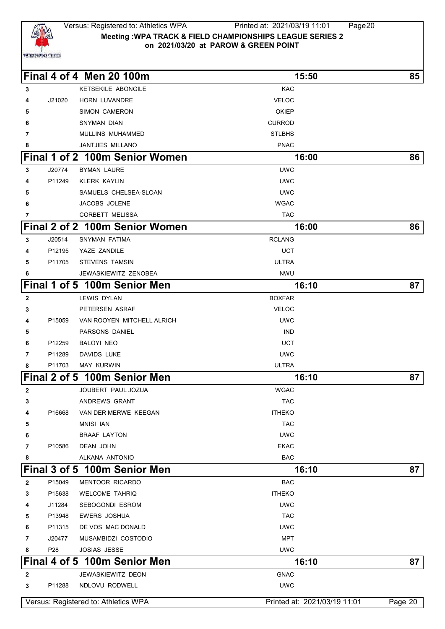

#### Versus: Registered to: Athletics WPA Printed at: 2021/03/19 11:01 Page20 **Meeting :WPA TRACK & FIELD CHAMPIONSHIPS LEAGUE SERIES 2 on 2021/03/20 at PAROW & GREEN POINT**

|              |                 | Final 4 of 4 Men 20 100m             | 15:50                        | 85              |
|--------------|-----------------|--------------------------------------|------------------------------|-----------------|
| 3            |                 | <b>KETSEKILE ABONGILE</b>            | <b>KAC</b>                   |                 |
| 4            | J21020          | <b>HORN LUVANDRE</b>                 | <b>VELOC</b>                 |                 |
| 5            |                 | <b>SIMON CAMERON</b>                 | <b>OKIEP</b>                 |                 |
| 6            |                 | SNYMAN DIAN                          | <b>CURROD</b>                |                 |
| 7            |                 | MULLINS MUHAMMED                     | <b>STLBHS</b>                |                 |
| 8            |                 | JANTJIES MILLANO                     | <b>PNAC</b>                  |                 |
|              |                 | Final 1 of 2 100m Senior Women       | 16:00                        | 86              |
| 3            | J20774          | <b>BYMAN LAURE</b>                   | <b>UWC</b>                   |                 |
|              | P11249          | <b>KLERK KAYLIN</b>                  | <b>UWC</b>                   |                 |
| 5            |                 | SAMUELS CHELSEA-SLOAN                | <b>UWC</b>                   |                 |
| 6            |                 | JACOBS JOLENE                        | <b>WGAC</b>                  |                 |
| 7            |                 | <b>CORBETT MELISSA</b>               | <b>TAC</b>                   |                 |
|              |                 | Final 2 of 2 100m Senior Women       | 16:00                        | 86              |
| 3            | J20514          | SNYMAN FATIMA                        | <b>RCLANG</b>                |                 |
| 4            | P12195          | YAZE ZANDILE                         | UCT                          |                 |
| 5            | P11705          | <b>STEVENS TAMSIN</b>                | <b>ULTRA</b>                 |                 |
| 6            |                 | JEWASKIEWITZ ZENOBEA                 | <b>NWU</b>                   |                 |
|              |                 | Final 1 of 5 100m Senior Men         | 16:10                        | 87 <sup>°</sup> |
| $\mathbf{2}$ |                 | LEWIS DYLAN                          | <b>BOXFAR</b>                |                 |
| 3            |                 | PETERSEN ASRAF                       | <b>VELOC</b>                 |                 |
| 4            | P15059          | VAN ROOYEN MITCHELL ALRICH           | <b>UWC</b>                   |                 |
| 5            |                 | PARSONS DANIEL                       | <b>IND</b>                   |                 |
| 6            | P12259          | BALOYI NEO                           | <b>UCT</b>                   |                 |
| 7            | P11289          | <b>DAVIDS LUKE</b>                   | <b>UWC</b>                   |                 |
| 8            | P11703          | <b>MAY KURWIN</b>                    | <b>ULTRA</b>                 |                 |
|              |                 | Final 2 of 5 100m Senior Men         | 16:10                        | 87 <sub>1</sub> |
| $\mathbf{2}$ |                 | JOUBERT PAUL JOZUA                   | <b>WGAC</b>                  |                 |
| 3            |                 | ANDREWS GRANT                        | <b>TAC</b>                   |                 |
| 4            | P16668          | VAN DER MERWE KEEGAN                 | <b>ITHEKO</b>                |                 |
| 5            |                 | <b>MNISI IAN</b>                     | <b>TAC</b>                   |                 |
| 6            |                 | <b>BRAAF LAYTON</b>                  | <b>UWC</b>                   |                 |
| 7            | P10586          | <b>DEAN JOHN</b>                     | <b>EKAC</b>                  |                 |
| 8            |                 | ALKANA ANTONIO                       | <b>BAC</b>                   |                 |
|              |                 | Final 3 of 5 100m Senior Men         | 16:10                        | 87              |
| $\mathbf{2}$ | P15049          | <b>MENTOOR RICARDO</b>               | <b>BAC</b>                   |                 |
| 3            | P15638          | <b>WELCOME TAHRIQ</b>                | <b>ITHEKO</b>                |                 |
| 4            | J11284          | SEBOGONDI ESROM                      | <b>UWC</b>                   |                 |
| 5            | P13948          | <b>EWERS JOSHUA</b>                  | <b>TAC</b>                   |                 |
| 6            | P11315          | DE VOS MAC DONALD                    | <b>UWC</b>                   |                 |
| 7            | J20477          | MUSAMBIDZI COSTODIO                  | MPT                          |                 |
| 8            | P <sub>28</sub> | <b>JOSIAS JESSE</b>                  | <b>UWC</b>                   |                 |
|              |                 | Final 4 of 5 100m Senior Men         | 16:10                        | 87              |
| 2            |                 | JEWASKIEWITZ DEON                    | <b>GNAC</b>                  |                 |
| 3            | P11288          | NDLOVU RODWELL                       | <b>UWC</b>                   |                 |
|              |                 | Versus: Registered to: Athletics WPA | Printed at: 2021/03/19 11:01 | Page 20         |
|              |                 |                                      |                              |                 |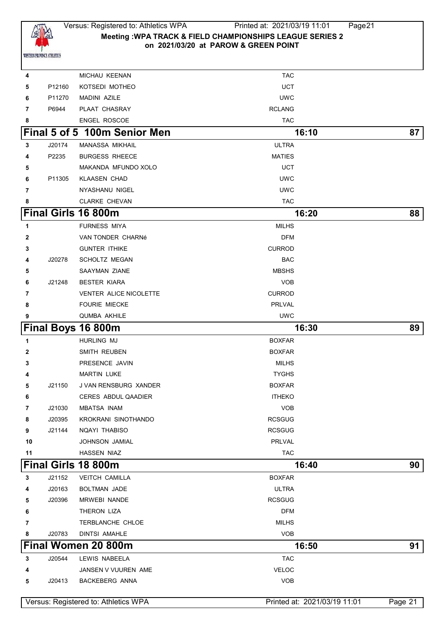

| 4              |        | MICHAU KEENAN                        | <b>TAC</b>                   |         |
|----------------|--------|--------------------------------------|------------------------------|---------|
| 5              | P12160 | KOTSEDI MOTHEO                       | <b>UCT</b>                   |         |
| 6              | P11270 | <b>MADINI AZILE</b>                  | <b>UWC</b>                   |         |
| 7              | P6944  | PLAAT CHASRAY                        | <b>RCLANG</b>                |         |
| 8              |        | ENGEL ROSCOE                         | <b>TAC</b>                   |         |
|                |        | Final 5 of 5 100m Senior Men         | 16:10                        | 87      |
| 3              | J20174 | <b>MANASSA MIKHAIL</b>               | <b>ULTRA</b>                 |         |
| 4              | P2235  | <b>BURGESS RHEECE</b>                | <b>MATIES</b>                |         |
| 5              |        | MAKANDA MFUNDO XOLO                  | <b>UCT</b>                   |         |
| 6              | P11305 | <b>KLAASEN CHAD</b>                  | <b>UWC</b>                   |         |
| $\overline{7}$ |        | NYASHANU NIGEL                       | <b>UWC</b>                   |         |
| 8              |        | <b>CLARKE CHEVAN</b>                 | <b>TAC</b>                   |         |
|                |        | <b>Final Girls 16 800m</b>           | 16:20                        | 88      |
| 1              |        | <b>FURNESS MIYA</b>                  | <b>MILHS</b>                 |         |
| 2              |        | VAN TONDER CHARNé                    | <b>DFM</b>                   |         |
| 3              |        | <b>GUNTER ITHIKE</b>                 | <b>CURROD</b>                |         |
| 4              | J20278 | <b>SCHOLTZ MEGAN</b>                 | <b>BAC</b>                   |         |
| 5              |        | SAAYMAN ZIANE                        | <b>MBSHS</b>                 |         |
| 6              | J21248 | <b>BESTER KIARA</b>                  | <b>VOB</b>                   |         |
| 7              |        | VENTER ALICE NICOLETTE               | <b>CURROD</b>                |         |
| 8              |        | <b>FOURIE MIECKE</b>                 | PRLVAL                       |         |
| 9              |        | <b>QUMBA AKHILE</b>                  | <b>UWC</b>                   |         |
|                |        | Final Boys 16 800m                   | 16:30                        | 89      |
| 1              |        | HURLING MJ                           | <b>BOXFAR</b>                |         |
| 2              |        | SMITH REUBEN                         | <b>BOXFAR</b>                |         |
| 3              |        | PRESENCE JAVIN                       | <b>MILHS</b>                 |         |
| 4              |        | <b>MARTIN LUKE</b>                   | <b>TYGHS</b>                 |         |
| 5              | J21150 | J VAN RENSBURG XANDER                | <b>BOXFAR</b>                |         |
| 6              |        | <b>CERES ABDUL QAADIER</b>           | <b>ITHEKO</b>                |         |
| 7              | J21030 | <b>MBATSA INAM</b>                   | <b>VOB</b>                   |         |
| 8              | J20395 | KROKRANI SINOTHANDO                  | <b>RCSGUG</b>                |         |
| 9              | J21144 | <b>NOAYI THABISO</b>                 | <b>RCSGUG</b>                |         |
| 10             |        | JOHNSON JAMIAL                       | PRLVAL                       |         |
| 11             |        | HASSEN NIAZ                          | <b>TAC</b>                   |         |
|                |        | Final Girls 18 800m                  | 16:40                        | 90      |
| 3              | J21152 | <b>VEITCH CAMILLA</b>                | <b>BOXFAR</b>                |         |
| 4              | J20163 | BOLTMAN JADE                         | <b>ULTRA</b>                 |         |
| 5              | J20396 | <b>MRWEBI NANDE</b>                  | <b>RCSGUG</b>                |         |
| 6              |        | THERON LIZA                          | <b>DFM</b>                   |         |
| 7              |        | TERBLANCHE CHLOE                     | <b>MILHS</b>                 |         |
| 8              | J20783 | <b>DINTSI AMAHLE</b>                 | <b>VOB</b>                   |         |
|                |        | Final Women 20 800m                  | 16:50                        | 91      |
| 3              | J20544 | LEWIS NABEELA                        | <b>TAC</b>                   |         |
| 4              |        | JANSEN V VUUREN AME                  | <b>VELOC</b>                 |         |
| 5              | J20413 | <b>BACKEBERG ANNA</b>                | <b>VOB</b>                   |         |
|                |        |                                      |                              |         |
|                |        | Versus: Registered to: Athletics WPA | Printed at: 2021/03/19 11:01 | Page 21 |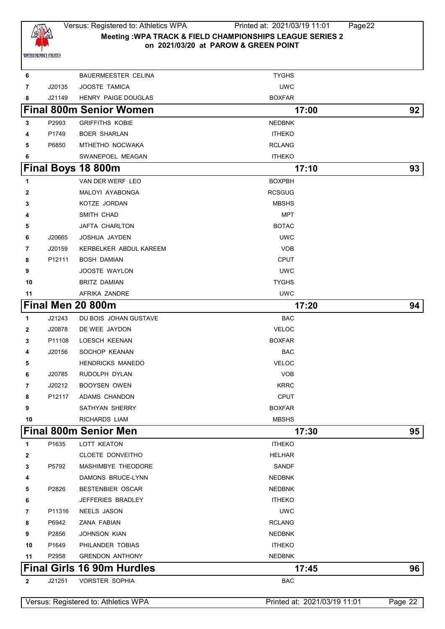

# Versus: Registered to: Athletics WPA Printed at: 2021/03/19 11:01 Page22 **Meeting :WPA TRACK & FIELD CHAMPIONSHIPS LEAGUE SERIES 2 on 2021/03/20 at PAROW & GREEN POINT**

| 6            |        | <b>BAUERMEESTER CELINA</b>           | <b>TYGHS</b>                 |         |
|--------------|--------|--------------------------------------|------------------------------|---------|
| 7            | J20135 | JOOSTE TAMICA                        | <b>UWC</b>                   |         |
| 8            | J21149 | HENRY PAIGE DOUGLAS                  | <b>BOXFAR</b>                |         |
|              |        | <b>Final 800m Senior Women</b>       | 17:00                        | 92      |
| 3            | P2993  | <b>GRIFFITHS KOBIE</b>               | <b>NEDBNK</b>                |         |
| 4            | P1749  | <b>BOER SHARLAN</b>                  | <b>ITHEKO</b>                |         |
| 5            | P6850  | MTHETHO NOCWAKA                      | <b>RCLANG</b>                |         |
| 6            |        | SWANEPOEL MEAGAN                     | <b>ITHEKO</b>                |         |
|              |        | Final Boys 18 800m                   | 17:10                        | 93      |
| 1            |        | VAN DER WERF LEO                     | <b>BOXPBH</b>                |         |
| 2            |        | MALOYI AYABONGA                      | <b>RCSGUG</b>                |         |
| 3            |        | KOTZE JORDAN                         | <b>MBSHS</b>                 |         |
| 4            |        | SMITH CHAD                           | <b>MPT</b>                   |         |
| 5            |        | JAFTA CHARLTON                       | <b>BOTAC</b>                 |         |
| 6            | J20665 | JOSHUA JAYDEN                        | <b>UWC</b>                   |         |
| 7            | J20159 | KERBELKER ABDUL KAREEM               | <b>VOB</b>                   |         |
| 8            | P12111 | <b>BOSH DAMIAN</b>                   | <b>CPUT</b>                  |         |
| 9            |        | JOOSTE WAYLON                        | <b>UWC</b>                   |         |
| 10           |        | <b>BRITZ DAMIAN</b>                  | <b>TYGHS</b>                 |         |
| 11           |        | AFRIKA ZANDRE                        | <b>UWC</b>                   |         |
|              |        | Final Men 20 800m                    | 17:20                        | 94      |
| 1            | J21243 | DU BOIS JOHAN GUSTAVE                | <b>BAC</b>                   |         |
| $\mathbf{2}$ | J20878 | DE WEE JAYDON                        | <b>VELOC</b>                 |         |
| 3            | P11108 | LOESCH KEENAN                        | <b>BOXFAR</b>                |         |
| 4            | J20156 | SOCHOP KEANAN                        | <b>BAC</b>                   |         |
| 5            |        | <b>HENDRICKS MANEDO</b>              | <b>VELOC</b>                 |         |
| 6            | J20785 | RUDOLPH DYLAN                        | <b>VOB</b>                   |         |
| 7            | J20212 | <b>BOOYSEN OWEN</b>                  | <b>KRRC</b>                  |         |
| 8            | P12117 | ADAMS CHANDON                        | <b>CPUT</b>                  |         |
| 9            |        | SATHYAN SHERRY                       | <b>BOXFAR</b>                |         |
| 10           |        | RICHARDS LIAM                        | <b>MBSHS</b>                 |         |
|              |        | <b>Final 800m Senior Men</b>         | 17:30                        | 95      |
| 1            | P1635  | LOTT KEATON                          | <b>ITHEKO</b>                |         |
| 2            |        | CLOETE DONVEITHO                     | <b>HELHAR</b>                |         |
| 3            | P5792  | MASHIMBYE THEODORE                   | <b>SANDF</b>                 |         |
| 4            |        | DAMONS BRUCE-LYNN                    | <b>NEDBNK</b>                |         |
| 5            | P2826  | <b>BESTENBIER OSCAR</b>              | <b>NEDBNK</b>                |         |
| 6            |        | JEFFERIES BRADLEY                    | <b>ITHEKO</b>                |         |
| 7            | P11316 | NEELS JASON                          | <b>UWC</b>                   |         |
| 8            | P6942  | ZANA FABIAN                          | <b>RCLANG</b>                |         |
| 9            | P2856  | <b>JOHNSON KIAN</b>                  | <b>NEDBNK</b>                |         |
| 10           | P1649  | PHILANDER TOBIAS                     | <b>ITHEKO</b>                |         |
| 11           | P2958  | <b>GRENDON ANTHONY</b>               | <b>NEDBNK</b>                |         |
|              |        | <b>Final Girls 16 90m Hurdles</b>    | 17:45                        | 96      |
| $\mathbf{2}$ | J21251 | <b>VORSTER SOPHIA</b>                | <b>BAC</b>                   |         |
|              |        | Versus: Registered to: Athletics WPA | Printed at: 2021/03/19 11:01 | Page 22 |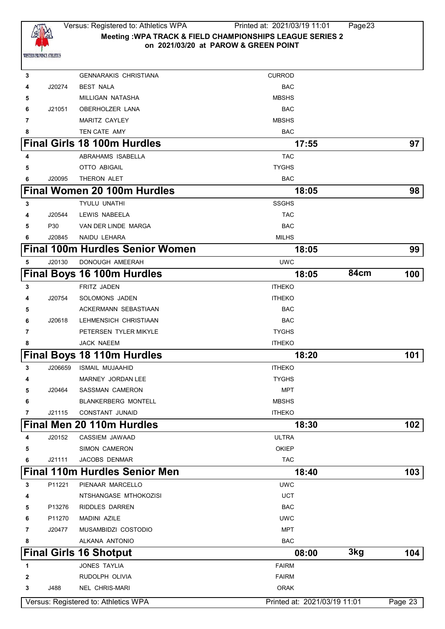

 **GENNARAKIS CHRISTIANA CURROD**  J20274 BEST NALA BAC MILLIGAN NATASHA MBSHS J21051 OBERHOLZER LANA **BAC**  MARITZ CAYLEY **MARITZ CAYLEY** MBSHS TEN CATE AMY **BAC Final Girls 18 100m Hurdles 17:55 97** ABRAHAMS ISABELLA TAC OTTO ABIGAIL **TYGHS**  J20095 THERON ALET **Final Women 20 100m Hurdles 18:05 98** TYULU UNATHI SSGHS J20544 LEWIS NABEELA TAC P30 VAN DER LINDE MARGA BAC J20845 NAIDU LEHARA MILHS **Final 100m Hurdles Senior Women 18:05 99** J20130 DONOUGH AMEERAH UWC **Final Boys 16 100m Hurdles 18:05 84cm 100 ERITZ JADEN ITHEKO**  J20754 SOLOMONS JADEN ITHEKO ACKERMANN SEBASTIAAN **BAC**  J20618 LEHMENSICH CHRISTIAAN BAC **PETERSEN TYLER MIKYLE TYGHS**  JACK NAEEM **ITHEKO Final Boys 18 110m Hurdles** 18:20 **101**  J206659 ISMAIL MUJAAHID ITHEKO MARNEY JORDAN LEE TYGHS J20464 SASSMAN CAMERON MPT BLANKERBERG MONTELL **ALCOREGY MESSIS**  J21115 CONSTANT JUNAID **ITHEKO Final Men 20 110m Hurdles 18:30 102** J20152 CASSIEM JAWAAD ULTRA SIMON CAMERON **CAMERON CAMERON**  J21111 JACOBS DENMAR TAC **Final 110m Hurdles Senior Men 18:40 103** P11221 PIENAAR MARCELLO UWC NTSHANGASE MTHOKOZISI UCT P13276 RIDDLES DARREN BAC P11270 MADINI AZILE UWC J20477 MUSAMBIDZI COSTODIO MPT ALKANA ANTONIO BAC **Final Girls 16 Shotput 08:00 3kg 104 1** JONES TAYLIA **FAIRM**  RUDOLPH OLIVIA **FAIRM**  J488 NEL CHRIS-MARI ORAK Versus: Registered to: Athletics WPA Printed at: 2021/03/19 11:01 Page 23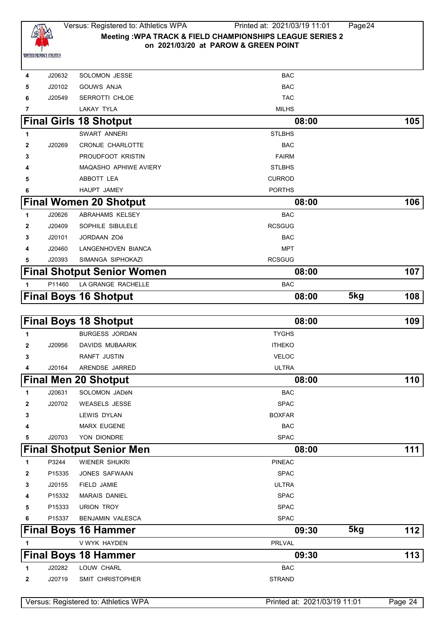

| J20632<br>4 | <b>SOLOMON JESSE</b>                 | BAC                          |     |         |
|-------------|--------------------------------------|------------------------------|-----|---------|
| J20102<br>5 | <b>GOUWS ANJA</b>                    | BAC                          |     |         |
| J20549<br>6 | SERROTTI CHLOE                       | <b>TAC</b>                   |     |         |
| 7           | <b>LAKAY TYLA</b>                    | <b>MILHS</b>                 |     |         |
|             | <b>Final Girls 18 Shotput</b>        | 08:00                        |     | 105     |
| 1           | SWART ANNERI                         | <b>STLBHS</b>                |     |         |
| J20269<br>2 | <b>CRONJE CHARLOTTE</b>              | BAC                          |     |         |
| 3           | PROUDFOOT KRISTIN                    | <b>FAIRM</b>                 |     |         |
|             | <b>MAQASHO APHIWE AVIERY</b>         | <b>STLBHS</b>                |     |         |
| 5           | ABBOTT LEA                           | <b>CURROD</b>                |     |         |
| 6           | HAUPT JAMEY                          | <b>PORTHS</b>                |     |         |
|             | <b>Final Women 20 Shotput</b>        | 08:00                        |     | 106     |
| J20626<br>1 | ABRAHAMS KELSEY                      | <b>BAC</b>                   |     |         |
| J20409<br>2 | SOPHILE SIBULELE                     | <b>RCSGUG</b>                |     |         |
| J20101<br>3 | <b>JORDAAN ZOë</b>                   | BAC                          |     |         |
| J20460<br>4 | LANGENHOVEN BIANCA                   | <b>MPT</b>                   |     |         |
| J20393<br>5 | SIMANGA SIPHOKAZI                    | <b>RCSGUG</b>                |     |         |
|             | <b>Final Shotput Senior Women</b>    | 08:00                        |     | 107     |
| P11460<br>1 | LA GRANGE RACHELLE                   | <b>BAC</b>                   |     |         |
|             | <b>Final Boys 16 Shotput</b>         | 08:00                        | 5kg | 108     |
|             |                                      |                              |     |         |
|             | <b>Final Boys 18 Shotput</b>         | 08:00                        |     | 109     |
| 1           | <b>BURGESS JORDAN</b>                | <b>TYGHS</b>                 |     |         |
| J20956<br>2 | <b>DAVIDS MUBAARIK</b>               | <b>ITHEKO</b>                |     |         |
| 3           | <b>RANFT JUSTIN</b>                  | <b>VELOC</b>                 |     |         |
| J20164<br>4 | ARENDSE JARRED                       | <b>ULTRA</b>                 |     |         |
|             | <b>Final Men 20 Shotput</b>          | 08:00                        |     | 110     |
| J20631<br>1 | SOLOMON JADéN                        | BAC                          |     |         |
| 2<br>J20702 | <b>WEASELS JESSE</b>                 | <b>SPAC</b>                  |     |         |
| 3           | LEWIS DYLAN                          | <b>BOXFAR</b>                |     |         |
| 4           | <b>MARX EUGENE</b>                   | <b>BAC</b>                   |     |         |
| J20703<br>5 | YON DIONDRE                          | <b>SPAC</b>                  |     |         |
|             | <b>Final Shotput Senior Men</b>      | 08:00                        |     | 111     |
| P3244<br>1  | <b>WIENER SHUKRI</b>                 | <b>PINEAC</b>                |     |         |
| P15335<br>2 | JONES SAFWAAN                        | <b>SPAC</b>                  |     |         |
| J20155<br>3 | FIELD JAMIE                          | <b>ULTRA</b>                 |     |         |
| P15332<br>4 | <b>MARAIS DANIEL</b>                 | <b>SPAC</b>                  |     |         |
| P15333<br>5 | <b>URION TROY</b>                    | <b>SPAC</b>                  |     |         |
| P15337<br>6 | BENJAMIN VALESCA                     | <b>SPAC</b>                  |     |         |
|             | <b>Final Boys 16 Hammer</b>          | 09:30                        | 5kg | 112     |
| 1           | V WYK HAYDEN                         | <b>PRLVAL</b>                |     |         |
|             | <b>Final Boys 18 Hammer</b>          | 09:30                        |     | 113     |
| J20282<br>1 | LOUW CHARL                           | <b>BAC</b>                   |     |         |
| J20719<br>2 | SMIT CHRISTOPHER                     | <b>STRAND</b>                |     |         |
|             |                                      |                              |     |         |
|             | Versus: Registered to: Athletics WPA | Printed at: 2021/03/19 11:01 |     | Page 24 |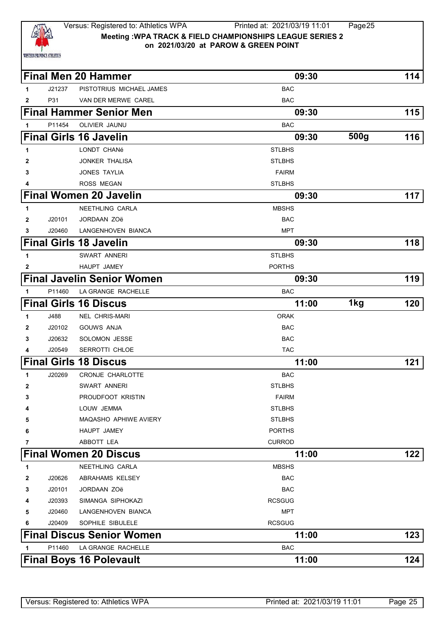

## Versus: Registered to: Athletics WPA Printed at: 2021/03/19 11:01 Page25 **Meeting :WPA TRACK & FIELD CHAMPIONSHIPS LEAGUE SERIES 2 on 2021/03/20 at PAROW & GREEN POINT**

|              |        | <b>Final Men 20 Hammer</b>        | 09:30         |      | 114 |
|--------------|--------|-----------------------------------|---------------|------|-----|
| 1            | J21237 | PISTOTRIUS MICHAEL JAMES          | <b>BAC</b>    |      |     |
| $\mathbf{2}$ | P31    | VAN DER MERWE CAREL               | <b>BAC</b>    |      |     |
|              |        | <b>Final Hammer Senior Men</b>    | 09:30         |      | 115 |
| 1            | P11454 | OLIVIER JAUNU                     | <b>BAC</b>    |      |     |
|              |        | <b>Final Girls 16 Javelin</b>     | 09:30         | 500g | 116 |
| 1            |        | LONDT CHANé                       | <b>STLBHS</b> |      |     |
| 2            |        | <b>JONKER THALISA</b>             | <b>STLBHS</b> |      |     |
| 3            |        | <b>JONES TAYLIA</b>               | <b>FAIRM</b>  |      |     |
| 4            |        | <b>ROSS MEGAN</b>                 | <b>STLBHS</b> |      |     |
|              |        | <b>Final Women 20 Javelin</b>     | 09:30         |      | 117 |
| 1            |        | NEETHLING CARLA                   | <b>MBSHS</b>  |      |     |
| 2            | J20101 | <b>JORDAAN ZOë</b>                | <b>BAC</b>    |      |     |
| 3            | J20460 | LANGENHOVEN BIANCA                | MPT           |      |     |
|              |        | <b>Final Girls 18 Javelin</b>     | 09:30         |      | 118 |
| 1            |        | SWART ANNERI                      | <b>STLBHS</b> |      |     |
| 2            |        | HAUPT JAMEY                       | <b>PORTHS</b> |      |     |
|              |        | <b>Final Javelin Senior Women</b> | 09:30         |      | 119 |
| 1            | P11460 | LA GRANGE RACHELLE                | <b>BAC</b>    |      |     |
|              |        | <b>Final Girls 16 Discus</b>      | 11:00         | 1kg  | 120 |
| 1            | J488   | <b>NEL CHRIS-MARI</b>             | <b>ORAK</b>   |      |     |
| 2            | J20102 | <b>GOUWS ANJA</b>                 | <b>BAC</b>    |      |     |
| 3            | J20632 | <b>SOLOMON JESSE</b>              | <b>BAC</b>    |      |     |
| 4            | J20549 | SERROTTI CHLOE                    | <b>TAC</b>    |      |     |
|              |        | <b>Final Girls 18 Discus</b>      | 11:00         |      | 121 |
| 1            | J20269 | <b>CRONJE CHARLOTTE</b>           | <b>BAC</b>    |      |     |
| 2            |        | SWART ANNERI                      | <b>STLBHS</b> |      |     |
| З            |        | PROUDFOOT KRISTIN                 | <b>FAIRM</b>  |      |     |
|              |        | LOUW JEMMA                        | <b>STLBHS</b> |      |     |
| 5            |        | <b>MAQASHO APHIWE AVIERY</b>      | <b>STLBHS</b> |      |     |
| 6            |        | HAUPT JAMEY                       | <b>PORTHS</b> |      |     |
| 7            |        | ABBOTT LEA                        | <b>CURROD</b> |      |     |
|              |        | <b>Final Women 20 Discus</b>      | 11:00         |      | 122 |
| 1            |        | NEETHLING CARLA                   | <b>MBSHS</b>  |      |     |
| 2            | J20626 | ABRAHAMS KELSEY                   | <b>BAC</b>    |      |     |
| 3            | J20101 | JORDAAN ZOë                       | <b>BAC</b>    |      |     |
| 4            | J20393 | SIMANGA SIPHOKAZI                 | <b>RCSGUG</b> |      |     |
| 5            | J20460 | LANGENHOVEN BIANCA                | <b>MPT</b>    |      |     |
| 6            | J20409 | SOPHILE SIBULELE                  | <b>RCSGUG</b> |      |     |
|              |        | <b>Final Discus Senior Women</b>  | 11:00         |      | 123 |
| 1            | P11460 | LA GRANGE RACHELLE                | <b>BAC</b>    |      |     |
|              |        | <b>Final Boys 16 Polevault</b>    | 11:00         |      | 124 |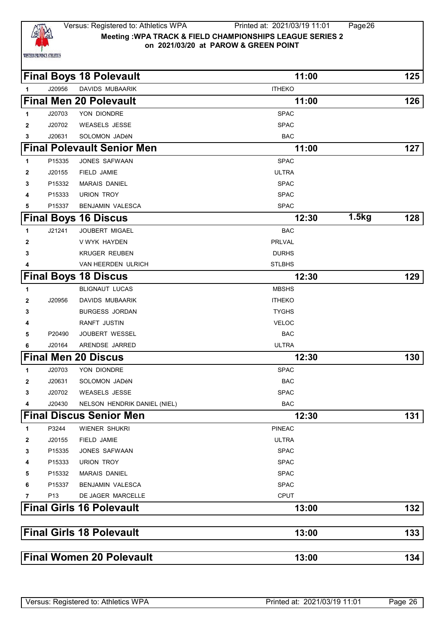

### Versus: Registered to: Athletics WPA Printed at: 2021/03/19 11:01 Page26 **Meeting :WPA TRACK & FIELD CHAMPIONSHIPS LEAGUE SERIES 2 on 2021/03/20 at PAROW & GREEN POINT**

**Final Boys 18 Polevault** 11:00 **125** 

⅂

ヿ

ן

| <b>Final Men 20 Polevault</b> |        |                                   | 11:00         |       | 126 |
|-------------------------------|--------|-----------------------------------|---------------|-------|-----|
| 1                             | J20703 | YON DIONDRE                       | <b>SPAC</b>   |       |     |
| $\mathbf{2}$                  | J20702 | <b>WEASELS JESSE</b>              | <b>SPAC</b>   |       |     |
| 3                             | J20631 | SOLOMON JADéN                     | <b>BAC</b>    |       |     |
|                               |        | <b>Final Polevault Senior Men</b> | 11:00         |       | 127 |
| 1                             | P15335 | JONES SAFWAAN                     | <b>SPAC</b>   |       |     |
| $\mathbf{2}$                  | J20155 | FIELD JAMIE                       | <b>ULTRA</b>  |       |     |
| 3                             | P15332 | <b>MARAIS DANIEL</b>              | <b>SPAC</b>   |       |     |
| 4                             | P15333 | <b>URION TROY</b>                 | <b>SPAC</b>   |       |     |
| 5                             | P15337 | <b>BENJAMIN VALESCA</b>           | <b>SPAC</b>   |       |     |
|                               |        | <b>Final Boys 16 Discus</b>       | 12:30         | 1.5kg | 128 |
| $\mathbf{1}$                  | J21241 | JOUBERT MIGAEL                    | <b>BAC</b>    |       |     |
| $\overline{2}$                |        | V WYK HAYDEN                      | PRLVAL        |       |     |
| 3                             |        | <b>KRUGER REUBEN</b>              | <b>DURHS</b>  |       |     |
| 4                             |        | VAN HEERDEN ULRICH                | <b>STLBHS</b> |       |     |
|                               |        | <b>Final Boys 18 Discus</b>       | 12:30         |       | 129 |
|                               |        |                                   |               |       |     |
| 1                             |        | <b>BLIGNAUT LUCAS</b>             | <b>MBSHS</b>  |       |     |
| $\mathbf{2}$                  | J20956 | DAVIDS MUBAARIK                   | <b>ITHEKO</b> |       |     |
| 3                             |        | <b>BURGESS JORDAN</b>             | <b>TYGHS</b>  |       |     |
| 4                             |        | <b>RANFT JUSTIN</b>               | <b>VELOC</b>  |       |     |
| 5                             | P20490 | JOUBERT WESSEL                    | <b>BAC</b>    |       |     |
| 6                             | J20164 | ARENDSE JARRED                    | ULTRA         |       |     |
|                               |        | <b>Final Men 20 Discus</b>        | 12:30         |       | 130 |
| $\mathbf{1}$                  | J20703 | YON DIONDRE                       | <b>SPAC</b>   |       |     |
| $\mathbf{2}$                  | J20631 | SOLOMON JADÉN                     | <b>BAC</b>    |       |     |
| 3                             | J20702 | <b>WEASELS JESSE</b>              | <b>SPAC</b>   |       |     |
| 4                             | J20430 | NELSON HENDRIK DANIEL (NIEL)      | <b>BAC</b>    |       |     |
|                               |        | <b>Final Discus Senior Men</b>    | 12:30         |       | 131 |
| $\mathbf{1}$                  | P3244  | <b>WIENER SHUKRI</b>              | <b>PINEAC</b> |       |     |
| $\mathbf{2}$                  | J20155 | <b>FIELD JAMIE</b>                | <b>ULTRA</b>  |       |     |

J20956 DAVIDS MUBAARIK **ITHEKO** 

|              |                 | <b>Final Girls 18 Polevault</b>   | 13:00         |       | 133 |
|--------------|-----------------|-----------------------------------|---------------|-------|-----|
|              |                 | <b>Final Girls 16 Polevault</b>   | 13:00         |       | 132 |
| 7            | P <sub>13</sub> | DE JAGER MARCELLE                 | <b>CPUT</b>   |       |     |
| 6            | P15337          | <b>BENJAMIN VALESCA</b>           | <b>SPAC</b>   |       |     |
| 5            | P15332          | <b>MARAIS DANIEL</b>              | <b>SPAC</b>   |       |     |
| 4            | P15333          | <b>URION TROY</b>                 | <b>SPAC</b>   |       |     |
| 3            | P15335          | JONES SAFWAAN                     | <b>SPAC</b>   |       |     |
| 2            | J20155          | FIELD JAMIE                       | <b>ULTRA</b>  |       |     |
| 1            | P3244           | WIENER SHUKRI                     | <b>PINEAC</b> |       |     |
|              |                 | <b>Final Discus Senior Men</b>    | 12:30         |       | 131 |
| 4            | J20430          | NELSON HENDRIK DANIEL (NIEL)      | <b>BAC</b>    |       |     |
| 3            | J20702          | <b>WEASELS JESSE</b>              | <b>SPAC</b>   |       |     |
| $\mathbf{2}$ | J20631          | SOLOMON JADéN                     | <b>BAC</b>    |       |     |
| 1            | J20703          | YON DIONDRE                       | <b>SPAC</b>   |       |     |
|              |                 | <b>Final Men 20 Discus</b>        | 12:30         |       | 130 |
| 6            | J20164          | ARENDSE JARRED                    | <b>ULTRA</b>  |       |     |
| 5            | P20490          | <b>JOUBERT WESSEL</b>             | <b>BAC</b>    |       |     |
| 4            |                 | RANFT JUSTIN                      | <b>VELOC</b>  |       |     |
| 3            |                 | <b>BURGESS JORDAN</b>             | <b>TYGHS</b>  |       |     |
| $\mathbf{2}$ | J20956          | DAVIDS MUBAARIK                   | <b>ITHEKO</b> |       |     |
| 1            |                 | <b>BLIGNAUT LUCAS</b>             | <b>MBSHS</b>  |       |     |
|              |                 | <b>Final Boys 18 Discus</b>       | 12:30         |       | 129 |
| 4            |                 | VAN HEERDEN ULRICH                | <b>STLBHS</b> |       |     |
| 3            |                 | KRUGER REUBEN                     | <b>DURHS</b>  |       |     |
| 2            |                 | V WYK HAYDEN                      | PRLVAL        |       |     |
| 1            | J21241          | <b>JOUBERT MIGAEL</b>             | <b>BAC</b>    |       |     |
|              |                 | <b>Final Boys 16 Discus</b>       | 12:30         | 1.5kg | 128 |
| 5            | P15337          | <b>BENJAMIN VALESCA</b>           | <b>SPAC</b>   |       |     |
| 4            | P15333          | <b>URION TROY</b>                 | <b>SPAC</b>   |       |     |
| 3            | P15332          | <b>MARAIS DANIEL</b>              | <b>SPAC</b>   |       |     |
| 2            | J20155          | FIELD JAMIE                       | <b>ULTRA</b>  |       |     |
| 1            | P15335          | JONES SAFWAAN                     | <b>SPAC</b>   |       |     |
|              |                 | <b>Final Polevault Senior Men</b> | 11:00         |       | 127 |
| 3            | J20631          | SOLOMON JADéN                     | <b>BAC</b>    |       |     |
| $\mathbf{2}$ | J20702          | <b>WEASELS JESSE</b>              | <b>SPAC</b>   |       |     |

|--|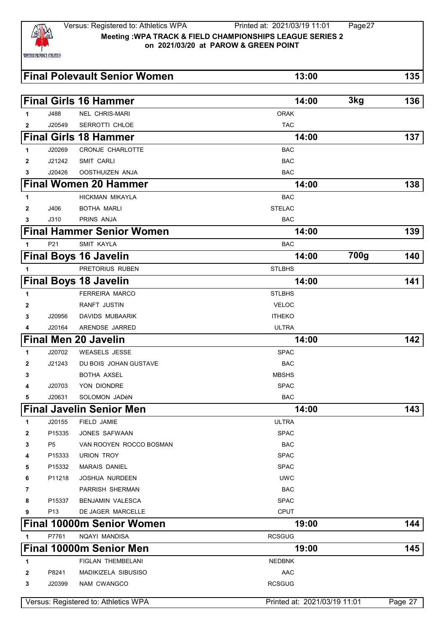

|              |                | <b>Final Polevault Senior Women</b> | 13:00         |                   | 135 |
|--------------|----------------|-------------------------------------|---------------|-------------------|-----|
|              |                | <b>Final Girls 16 Hammer</b>        | 14:00         | 3kg               | 136 |
| 1            | J488           | <b>NEL CHRIS-MARI</b>               | <b>ORAK</b>   |                   |     |
| 2            | J20549         | SERROTTI CHLOE                      | <b>TAC</b>    |                   |     |
|              |                | <b>Final Girls 18 Hammer</b>        | 14:00         |                   | 137 |
| 1            | J20269         | CRONJE CHARLOTTE                    | <b>BAC</b>    |                   |     |
| $\mathbf{2}$ | J21242         | <b>SMIT CARLI</b>                   | <b>BAC</b>    |                   |     |
| 3            | J20426         | OOSTHUIZEN ANJA                     | <b>BAC</b>    |                   |     |
|              |                | <b>Final Women 20 Hammer</b>        | 14:00         |                   | 138 |
| 1            |                | HICKMAN MIKAYLA                     | <b>BAC</b>    |                   |     |
| 2            | J406           | <b>BOTHA MARLI</b>                  | <b>STELAC</b> |                   |     |
| 3            | J310           | PRINS ANJA                          | <b>BAC</b>    |                   |     |
|              |                | <b>Final Hammer Senior Women</b>    | 14:00         |                   | 139 |
| 1            | P21            | <b>SMIT KAYLA</b>                   | <b>BAC</b>    |                   |     |
|              |                | <b>Final Boys 16 Javelin</b>        | 14:00         | $\overline{7}00g$ | 140 |
| 1            |                | PRETORIUS RUBEN                     | <b>STLBHS</b> |                   |     |
|              |                | <b>Final Boys 18 Javelin</b>        | 14:00         |                   | 141 |
| 1            |                | <b>FERREIRA MARCO</b>               | <b>STLBHS</b> |                   |     |
| 2            |                | RANFT JUSTIN                        | <b>VELOC</b>  |                   |     |
| 3            | J20956         | DAVIDS MUBAARIK                     | <b>ITHEKO</b> |                   |     |
| 4            | J20164         | ARENDSE JARRED                      | <b>ULTRA</b>  |                   |     |
|              |                | <b>Final Men 20 Javelin</b>         | 14:00         |                   | 142 |
| 1            | J20702         | <b>WEASELS JESSE</b>                | <b>SPAC</b>   |                   |     |
| 2            | J21243         | DU BOIS JOHAN GUSTAVE               | <b>BAC</b>    |                   |     |
| 3            |                | BOTHA AXSEL                         | <b>MBSHS</b>  |                   |     |
| 4            | J20703         | YON DIONDRE                         | <b>SPAC</b>   |                   |     |
| 5            | J20631         | SOLOMON JADÉN                       | <b>BAC</b>    |                   |     |
|              |                | <b>Final Javelin Senior Men</b>     | 14:00         |                   | 143 |
| 1            | J20155         | FIELD JAMIE                         | <b>ULTRA</b>  |                   |     |
| 2            | P15335         | JONES SAFWAAN                       | <b>SPAC</b>   |                   |     |
| 3            | P <sub>5</sub> | VAN ROOYEN ROCCO BOSMAN             | <b>BAC</b>    |                   |     |
| 4            | P15333         | <b>URION TROY</b>                   | <b>SPAC</b>   |                   |     |
| 5            | P15332         | <b>MARAIS DANIEL</b>                | <b>SPAC</b>   |                   |     |
| 6            | P11218         | JOSHUA NURDEEN                      | <b>UWC</b>    |                   |     |
| 7            |                | PARRISH SHERMAN                     | <b>BAC</b>    |                   |     |
| 8            | P15337         | <b>BENJAMIN VALESCA</b>             | <b>SPAC</b>   |                   |     |
| 9            | P13            | DE JAGER MARCELLE                   | <b>CPUT</b>   |                   |     |
|              |                | <b>Final 10000m Senior Women</b>    | 19:00         |                   | 144 |
| 1            | P7761          | NQAYI MANDISA                       | <b>RCSGUG</b> |                   |     |
|              |                | Final 10000m Senior Men             | 19:00         |                   | 145 |
| 1            |                | FIGLAN THEMBELANI                   | <b>NEDBNK</b> |                   |     |
| 2            | P8241          | MADIKIZELA SIBUSISO                 | <b>AAC</b>    |                   |     |
| 3            | J20399         | NAM CWANGCO                         | <b>RCSGUG</b> |                   |     |